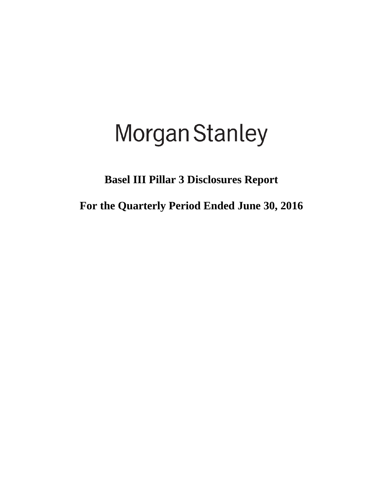# **Morgan Stanley**

**Basel III Pillar 3 Disclosures Report**

**For the Quarterly Period Ended June 30, 2016**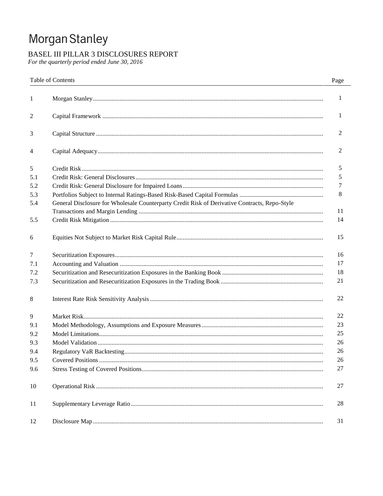# Morgan Stanley

# BASEL III PILLAR 3 DISCLOSURES REPORT

For the quarterly period ended June 30, 2016

|              | Table of Contents                                                                             | Page |
|--------------|-----------------------------------------------------------------------------------------------|------|
| $\mathbf{1}$ |                                                                                               | 1    |
| 2            |                                                                                               | 1    |
| 3            |                                                                                               | 2    |
| 4            |                                                                                               | 2    |
| 5            |                                                                                               | 5    |
| 5.1          |                                                                                               | 5    |
| 5.2          |                                                                                               | 7    |
| 5.3          |                                                                                               | 8    |
| 5.4          | General Disclosure for Wholesale Counterparty Credit Risk of Derivative Contracts, Repo-Style | 11   |
| 5.5          |                                                                                               | 14   |
| 6            |                                                                                               | 15   |
| 7            |                                                                                               | 16   |
| 7.1          |                                                                                               | 17   |
| 7.2          |                                                                                               | 18   |
| 7.3          |                                                                                               | 21   |
| 8            |                                                                                               | 22   |
| 9            |                                                                                               | 22   |
| 9.1          |                                                                                               | 23   |
| 9.2          |                                                                                               | 25   |
| 9.3          |                                                                                               | 26   |
| 9.4          |                                                                                               | 26   |
| 9.5          |                                                                                               | 26   |
| 9.6          |                                                                                               | 27   |
| 10           |                                                                                               | 27   |
| 11           |                                                                                               | 28   |
| 12           |                                                                                               | 31   |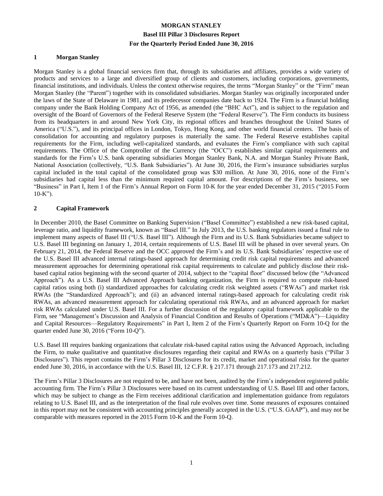#### **1 Morgan Stanley**

Morgan Stanley is a global financial services firm that, through its subsidiaries and affiliates, provides a wide variety of products and services to a large and diversified group of clients and customers, including corporations, governments, financial institutions, and individuals. Unless the context otherwise requires, the terms "Morgan Stanley" or the "Firm" mean Morgan Stanley (the "Parent") together with its consolidated subsidiaries. Morgan Stanley was originally incorporated under the laws of the State of Delaware in 1981, and its predecessor companies date back to 1924. The Firm is a financial holding company under the Bank Holding Company Act of 1956, as amended (the "BHC Act"), and is subject to the regulation and oversight of the Board of Governors of the Federal Reserve System (the "Federal Reserve"). The Firm conducts its business from its headquarters in and around New York City, its regional offices and branches throughout the United States of America ("U.S."), and its principal offices in London, Tokyo, Hong Kong, and other world financial centers. The basis of consolidation for accounting and regulatory purposes is materially the same. The Federal Reserve establishes capital requirements for the Firm, including well-capitalized standards, and evaluates the Firm's compliance with such capital requirements. The Office of the Comptroller of the Currency (the "OCC") establishes similar capital requirements and standards for the Firm's U.S. bank operating subsidiaries Morgan Stanley Bank, N.A. and Morgan Stanley Private Bank, National Association (collectively, "U.S. Bank Subsidiaries"). At June 30, 2016, the Firm's insurance subsidiaries surplus capital included in the total capital of the consolidated group was \$30 million. At June 30, 2016, none of the Firm's subsidiaries had capital less than the minimum required capital amount. For descriptions of the Firm's business, see "Business" in Part I, Item 1 of the Firm's Annual Report on Form 10-K for the year ended December 31, 2015 ("2015 Form  $10-K$ ").

#### **2 Capital Framework**

In December 2010, the Basel Committee on Banking Supervision ("Basel Committee") established a new risk-based capital, leverage ratio, and liquidity framework, known as "Basel III." In July 2013, the U.S. banking regulators issued a final rule to implement many aspects of Basel III ("U.S. Basel III"). Although the Firm and its U.S. Bank Subsidiaries became subject to U.S. Basel III beginning on January 1, 2014, certain requirements of U.S. Basel III will be phased in over several years. On February 21, 2014, the Federal Reserve and the OCC approved the Firm's and its U.S. Bank Subsidiaries' respective use of the U.S. Basel III advanced internal ratings-based approach for determining credit risk capital requirements and advanced measurement approaches for determining operational risk capital requirements to calculate and publicly disclose their riskbased capital ratios beginning with the second quarter of 2014, subject to the "capital floor" discussed below (the "Advanced Approach"). As a U.S. Basel III Advanced Approach banking organization, the Firm is required to compute risk-based capital ratios using both (i) standardized approaches for calculating credit risk weighted assets ("RWAs") and market risk RWAs (the "Standardized Approach"); and (ii) an advanced internal ratings-based approach for calculating credit risk RWAs, an advanced measurement approach for calculating operational risk RWAs, and an advanced approach for market risk RWAs calculated under U.S. Basel III. For a further discussion of the regulatory capital framework applicable to the Firm, see "Management's Discussion and Analysis of Financial Condition and Results of Operations ("MD&A")—Liquidity and Capital Resources—Regulatory Requirements" in Part I, Item 2 of the Firm's Quarterly Report on Form 10-Q for the quarter ended June 30, 2016 ("Form 10-Q").

U.S. Basel III requires banking organizations that calculate risk-based capital ratios using the Advanced Approach, including the Firm, to make qualitative and quantitative disclosures regarding their capital and RWAs on a quarterly basis ("Pillar 3 Disclosures"). This report contains the Firm's Pillar 3 Disclosures for its credit, market and operational risks for the quarter ended June 30, 2016, in accordance with the U.S. Basel III, 12 C.F.R. § 217.171 through 217.173 and 217.212.

The Firm's Pillar 3 Disclosures are not required to be, and have not been, audited by the Firm's independent registered public accounting firm. The Firm's Pillar 3 Disclosures were based on its current understanding of U.S. Basel III and other factors, which may be subject to change as the Firm receives additional clarification and implementation guidance from regulators relating to U.S. Basel III, and as the interpretation of the final rule evolves over time. Some measures of exposures contained in this report may not be consistent with accounting principles generally accepted in the U.S. ("U.S. GAAP"), and may not be comparable with measures reported in the 2015 Form 10-K and the Form 10-Q.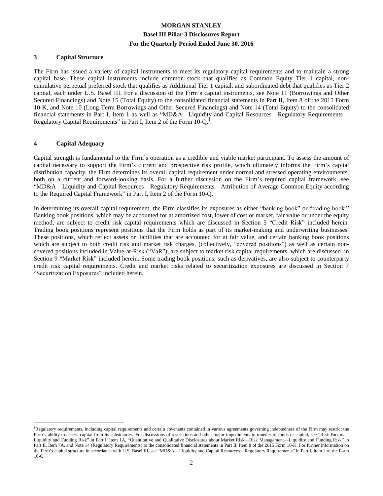#### **3 Capital Structure**

The Firm has issued a variety of capital instruments to meet its regulatory capital requirements and to maintain a strong capital base. These capital instruments include common stock that qualifies as Common Equity Tier 1 capital, noncumulative perpetual preferred stock that qualifies as Additional Tier 1 capital, and subordinated debt that qualifies as Tier 2 capital, each under U.S. Basel III. For a discussion of the Firm's capital instruments, see Note 11 (Borrowings and Other Secured Financings) and Note 15 (Total Equity) to the consolidated financial statements in Part II, Item 8 of the 2015 Form 10-K, and Note 10 (Long-Term Borrowings and Other Secured Financings) and Note 14 (Total Equity) to the consolidated financial statements in Part I, Item 1 as well as "MD&A—Liquidity and Capital Resources—Regulatory Requirements— Regulatory Capital Requirements" in Part I, Item 2 of the Form 10-Q.<sup>1</sup>

#### **4 Capital Adequacy**

 $\overline{a}$ 

Capital strength is fundamental to the Firm's operation as a credible and viable market participant. To assess the amount of capital necessary to support the Firm's current and prospective risk profile, which ultimately informs the Firm's capital distribution capacity, the Firm determines its overall capital requirement under normal and stressed operating environments, both on a current and forward-looking basis. For a further discussion on the Firm's required capital framework, see "MD&A—Liquidity and Capital Resources—Regulatory Requirements—Attribution of Average Common Equity according to the Required Capital Framework" in Part I, Item 2 of the Form 10-Q.

In determining its overall capital requirement, the Firm classifies its exposures as either "banking book" or "trading book." Banking book positions, which may be accounted for at amortized cost, lower of cost or market, fair value or under the equity method, are subject to credit risk capital requirements which are discussed in Section 5 "Credit Risk" included herein. Trading book positions represent positions that the Firm holds as part of its market-making and underwriting businesses. These positions, which reflect assets or liabilities that are accounted for at fair value, and certain banking book positions which are subject to both credit risk and market risk charges, (collectively, "covered positions") as well as certain noncovered positions included in Value-at-Risk ("VaR"), are subject to market risk capital requirements, which are discussed in Section 9 "Market Risk" included herein. Some trading book positions, such as derivatives, are also subject to counterparty credit risk capital requirements. Credit and market risks related to securitization exposures are discussed in Section 7 "Securitization Exposures" included herein.

<sup>&</sup>lt;sup>1</sup>Regulatory requirements, including capital requirements and certain covenants contained in various agreements governing indebtedness of the Firm may restrict the Firm's ability to access capital from its subsidiaries. For discussions of restrictions and other major impediments to transfer of funds or capital, see "Risk Factors— Liquidity and Funding Risk" in Part I, Item 1A, "Quantitative and Qualitative Disclosures about Market Risk—Risk Management—Liquidity and Funding Risk" in Part II, Item 7A, and Note 14 (Regulatory Requirements) to the consolidated financial statements in Part II, Item 8 of the 2015 Form 10-K. For further information on the Firm's capital structure in accordance with U.S. Basel III, see "MD&A—Liquidity and Capital Resources—Regulatory Requirements" in Part I, Item 2 of the Form 10-Q.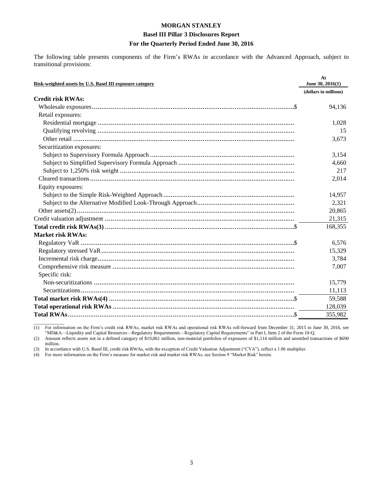#### **Basel III Pillar 3 Disclosures Report**

### For the Quarterly Period Ended June 30, 2016

The following table presents components of the Firm's RWAs in accordance with the Advanced Approach, subject to transitional provisions:

| Risk-weighted assets by U.S. Basel III exposure category | At<br>June 30, 2016(1) |
|----------------------------------------------------------|------------------------|
|                                                          | (dollars in millions)  |
| <b>Credit risk RWAs:</b>                                 |                        |
|                                                          | 94,136                 |
| Retail exposures:                                        |                        |
|                                                          | 1,028                  |
|                                                          | 15                     |
|                                                          | 3,673                  |
| Securitization exposures:                                |                        |
|                                                          | 3,154                  |
|                                                          | 4,660                  |
|                                                          | 217                    |
|                                                          | 2,014                  |
| Equity exposures:                                        |                        |
|                                                          | 14,957                 |
|                                                          | 2,321                  |
|                                                          | 20,865                 |
|                                                          | 21,315                 |
|                                                          | 168,355                |
| <b>Market risk RWAs:</b>                                 |                        |
|                                                          | 6,576                  |
|                                                          | 15,329                 |
|                                                          | 3,784                  |
|                                                          | 7,007                  |
| Specific risk:                                           |                        |
|                                                          | 15,779                 |
|                                                          | 11,113                 |
|                                                          | 59,588                 |
|                                                          | 128,039                |
|                                                          | 355,982                |

For information on the Firm's credit risk RWAs, market risk RWAs and operational risk RWAs roll-forward from December 31, 2015 to June 30, 2016, see<br>
"MD&A—Liquidity and Capital Resources—Regulatory Requirements—Regulatory  $(1)$ 

 $(2)$ million.

In accordance with U.S. Basel III, credit risk RWAs, with the exception of Credit Valuation Adjustment ("CVA"), reflect a 1.06 multiplier.  $(3)$ 

For more information on the Firm's measure for market risk and market risk RWAs, see Section 9 "Market Risk" herein.  $(4)$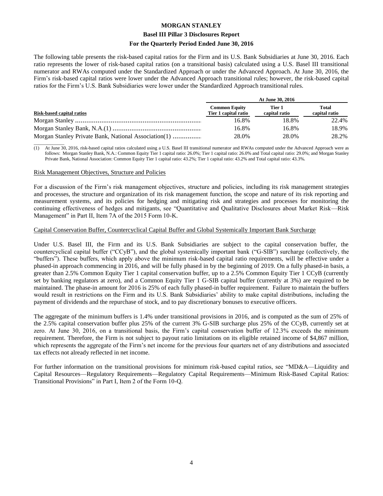#### **Basel III Pillar 3 Disclosures Report**

#### **For the Quarterly Period Ended June 30, 2016**

The following table presents the risk-based capital ratios for the Firm and its U.S. Bank Subsidiaries at June 30, 2016. Each ratio represents the lower of risk-based capital ratios (on a transitional basis) calculated using a U.S. Basel III transitional numerator and RWAs computed under the Standardized Approach or under the Advanced Approach. At June 30, 2016, the Firm's risk-based capital ratios were lower under the Advanced Approach transitional rules; however, the risk-based capital ratios for the Firm's U.S. Bank Subsidiaries were lower under the Standardized Approach transitional rules.

|                                                      |                                              | At June 30, 2016        |                        |
|------------------------------------------------------|----------------------------------------------|-------------------------|------------------------|
| Risk-based capital ratios                            | <b>Common Equity</b><br>Tier 1 capital ratio | Tier 1<br>capital ratio | Total<br>capital ratio |
|                                                      | 16.8%                                        | 18.8%                   | 22.4%                  |
|                                                      | 16.8%                                        | 16.8%                   | 18.9%                  |
| Morgan Stanley Private Bank, National Association(1) | 28.0%                                        | 28.0%                   | 28.2%                  |

 $\overline{\phantom{a}}$  , where  $\overline{\phantom{a}}$ (1) At June 30, 2016, risk-based capital ratios calculated using a U.S. Basel III transitional numerator and RWAs computed under the Advanced Approach were as follows: Morgan Stanley Bank, N.A.: Common Equity Tier 1 capital ratio: 26.0%; Tier 1 capital ratio: 26.0% and Total capital ratio: 29.0%; and Morgan Stanley Private Bank, National Association: Common Equity Tier 1 capital ratio: 43.2%; Tier 1 capital ratio: 43.2% and Total capital ratio: 43.3%.

#### Risk Management Objectives, Structure and Policies

For a discussion of the Firm's risk management objectives, structure and policies, including its risk management strategies and processes, the structure and organization of its risk management function, the scope and nature of its risk reporting and measurement systems, and its policies for hedging and mitigating risk and strategies and processes for monitoring the continuing effectiveness of hedges and mitigants, see "Quantitative and Qualitative Disclosures about Market Risk—Risk Management" in Part II, Item 7A of the 2015 Form 10-K.

#### Capital Conservation Buffer, Countercyclical Capital Buffer and Global Systemically Important Bank Surcharge

Under U.S. Basel III, the Firm and its U.S. Bank Subsidiaries are subject to the capital conservation buffer, the countercyclical capital buffer ("CCyB"), and the global systemically important bank ("G-SIB") surcharge (collectively, the "buffers"). These buffers, which apply above the minimum risk-based capital ratio requirements, will be effective under a phased-in approach commencing in 2016, and will be fully phased in by the beginning of 2019. On a fully phased-in basis, a greater than 2.5% Common Equity Tier 1 capital conservation buffer, up to a 2.5% Common Equity Tier 1 CCyB (currently set by banking regulators at zero), and a Common Equity Tier 1 G-SIB capital buffer (currently at 3%) are required to be maintained. The phase-in amount for 2016 is 25% of each fully phased-in buffer requirement. Failure to maintain the buffers would result in restrictions on the Firm and its U.S. Bank Subsidiaries' ability to make capital distributions, including the payment of dividends and the repurchase of stock, and to pay discretionary bonuses to executive officers.

The aggregate of the minimum buffers is 1.4% under transitional provisions in 2016, and is computed as the sum of 25% of the 2.5% capital conservation buffer plus 25% of the current 3% G-SIB surcharge plus 25% of the CCyB, currently set at zero. At June 30, 2016, on a transitional basis, the Firm's capital conservation buffer of 12.3% exceeds the minimum requirement. Therefore, the Firm is not subject to payout ratio limitations on its eligible retained income of \$4,867 million, which represents the aggregate of the Firm's net income for the previous four quarters net of any distributions and associated tax effects not already reflected in net income.

For further information on the transitional provisions for minimum risk-based capital ratios, see "MD&A—Liquidity and Capital Resources—Regulatory Requirements—Regulatory Capital Requirements—Minimum Risk-Based Capital Ratios: Transitional Provisions" in Part I, Item 2 of the Form 10-Q.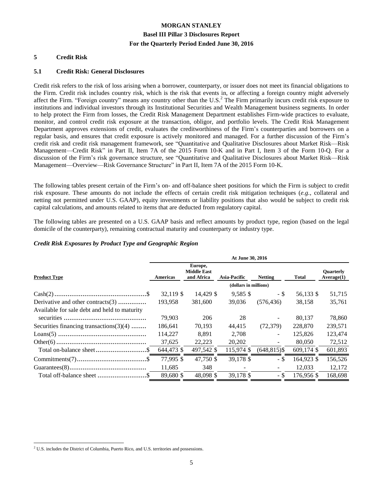#### **5 Credit Risk**

#### **5.1 Credit Risk: General Disclosures**

Credit risk refers to the risk of loss arising when a borrower, counterparty, or issuer does not meet its financial obligations to the Firm. Credit risk includes country risk, which is the risk that events in, or affecting a foreign country might adversely affect the Firm. "Foreign country" means any country other than the U.S.<sup>2</sup> The Firm primarily incurs credit risk exposure to institutions and individual investors through its Institutional Securities and Wealth Management business segments. In order to help protect the Firm from losses, the Credit Risk Management Department establishes Firm-wide practices to evaluate, monitor, and control credit risk exposure at the transaction, obligor, and portfolio levels. The Credit Risk Management Department approves extensions of credit, evaluates the creditworthiness of the Firm's counterparties and borrowers on a regular basis, and ensures that credit exposure is actively monitored and managed. For a further discussion of the Firm's credit risk and credit risk management framework, see "Quantitative and Qualitative Disclosures about Market Risk—Risk Management—Credit Risk" in Part II, Item 7A of the 2015 Form 10-K and in Part I, Item 3 of the Form 10-Q. For a discussion of the Firm's risk governance structure, see "Quantitative and Qualitative Disclosures about Market Risk—Risk Management—Overview—Risk Governance Structure" in Part II, Item 7A of the 2015 Form 10-K.

The following tables present certain of the Firm's on- and off-balance sheet positions for which the Firm is subject to credit risk exposure. These amounts do not include the effects of certain credit risk mitigation techniques (*e.g.*, collateral and netting not permitted under U.S. GAAP), equity investments or liability positions that also would be subject to credit risk capital calculations, and amounts related to items that are deducted from regulatory capital.

The following tables are presented on a U.S. GAAP basis and reflect amounts by product type, region (based on the legal domicile of the counterparty), remaining contractual maturity and counterparty or industry type.

#### *Credit Risk Exposures by Product Type and Geographic Region*

|                                                                       | At June 30, 2016      |                                             |              |                 |              |                                |  |  |  |  |
|-----------------------------------------------------------------------|-----------------------|---------------------------------------------|--------------|-----------------|--------------|--------------------------------|--|--|--|--|
| <b>Product Type</b>                                                   | Americas              | Europe,<br><b>Middle East</b><br>and Africa | Asia-Pacific | <b>Netting</b>  | <b>Total</b> | <b>Ouarterly</b><br>Average(1) |  |  |  |  |
|                                                                       | (dollars in millions) |                                             |              |                 |              |                                |  |  |  |  |
|                                                                       | 32.119 \$             | 14,429 \$                                   | $9,585$ \$   | - \$            | 56,133 \$    | 51,715                         |  |  |  |  |
| Derivative and other contracts(3)                                     | 193,958               | 381,600                                     | 39,036       | (576, 436)      | 38,158       | 35,761                         |  |  |  |  |
| Available for sale debt and held to maturity                          |                       |                                             |              |                 |              |                                |  |  |  |  |
|                                                                       | 79,903                | 206                                         | 28           | $\sim$          | 80,137       | 78,860                         |  |  |  |  |
| Securities financing transactions $(3)(4)$                            | 186,641               | 70,193                                      | 44,415       | (72, 379)       | 228,870      | 239,571                        |  |  |  |  |
|                                                                       | 114,227               | 8,891                                       | 2.708        | $\sim$          | 125,826      | 123,474                        |  |  |  |  |
|                                                                       | 37,625                | 22,223                                      | 20,202       | $\sim$          | 80,050       | 72,512                         |  |  |  |  |
|                                                                       | 644,473 \$            | 497,542 \$                                  | 115,974 \$   | $(648, 815)$ \$ | $609,174$ \$ | 601,893                        |  |  |  |  |
| $Commiments(7) \dots \dots \dots \dots \dots \dots \dots \dots \dots$ | 77,995 \$             | 47,750 \$                                   | 39,178 \$    | - \$            | 164,923 \$   | 156,526                        |  |  |  |  |
|                                                                       | 11,685                | 348                                         |              | $\sim$          | 12,033       | 12,172                         |  |  |  |  |
|                                                                       | 89.680 \$             | 48,098 \$                                   | 39,178 \$    | - \$            | 176.956 \$   | 168.698                        |  |  |  |  |

 $\overline{a}$ 

<sup>2</sup> U.S. includes the District of Columbia, Puerto Rico, and U.S. territories and possessions.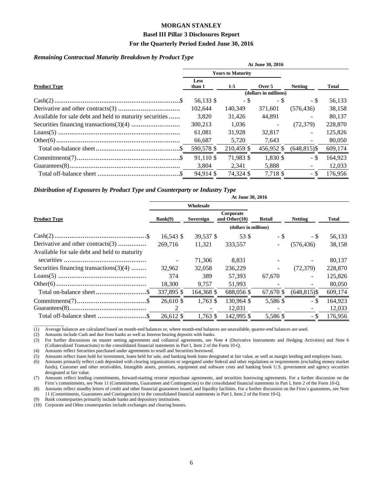#### **Basel III Pillar 3 Disclosures Report**

#### **For the Quarterly Period Ended June 30, 2016**

#### *Remaining Contractual Maturity Breakdown by Product Type*

| At June 30, 2016                                        |                                |                          |            |                 |         |  |  |  |
|---------------------------------------------------------|--------------------------------|--------------------------|------------|-----------------|---------|--|--|--|
|                                                         |                                | <b>Years to Maturity</b> |            |                 |         |  |  |  |
| <b>Product Type</b>                                     | <b>Less</b><br>$1-5$<br>than 1 |                          | Over 5     | <b>Netting</b>  | Total   |  |  |  |
|                                                         | (dollars in millions)          |                          |            |                 |         |  |  |  |
|                                                         | 56,133 \$                      | - \$                     | - \$       | - \$            | 56,133  |  |  |  |
|                                                         | 102.644                        | 140,349                  | 371,601    | (576, 436)      | 38,158  |  |  |  |
| Available for sale debt and held to maturity securities | 3.820                          | 31.426                   | 44,891     |                 | 80.137  |  |  |  |
|                                                         | 300,213                        | 1,036                    | $\sim$     | (72, 379)       | 228,870 |  |  |  |
|                                                         | 61.081                         | 31,928                   | 32,817     |                 | 125,826 |  |  |  |
|                                                         | 66,687                         | 5,720                    | 7,643      |                 | 80,050  |  |  |  |
|                                                         | 590,578 \$                     | 210,459 \$               | 456,952 \$ | $(648, 815)$ \$ | 609,174 |  |  |  |
|                                                         | 91.110 \$                      | 71,983 \$                | 1.830 \$   | - \$            | 164.923 |  |  |  |
|                                                         | 3,804                          | 2,341                    | 5,888      |                 | 12,033  |  |  |  |
|                                                         | 94.914 \$                      | 74.324 \$                | 7.718 \$   | - \$            | 176.956 |  |  |  |

#### *Distribution of Exposures by Product Type and Counterparty or Industry Type*

|                                              | At June 30, 2016                                      |            |            |                |                 |         |  |  |  |
|----------------------------------------------|-------------------------------------------------------|------------|------------|----------------|-----------------|---------|--|--|--|
|                                              | Wholesale                                             |            |            |                |                 |         |  |  |  |
| <b>Product Type</b>                          | Corporate<br>Bank(9)<br>Sovereign<br>and Other $(10)$ |            | Retail     | Total          |                 |         |  |  |  |
|                                              | (dollars in millions)                                 |            |            |                |                 |         |  |  |  |
|                                              | $16,543$ \$                                           | 39,537 \$  | 53 \$      | $-$ \$         | - \$            | 56,133  |  |  |  |
| Derivative and other contracts(3)            | 269,716                                               | 11,321     | 333,557    | $\sim$         | (576, 436)      | 38,158  |  |  |  |
| Available for sale debt and held to maturity |                                                       |            |            |                |                 |         |  |  |  |
|                                              | $\overline{\phantom{a}}$                              | 71,306     | 8,831      |                |                 | 80,137  |  |  |  |
| Securities financing transactions $(3)(4)$   | 32.962                                                | 32,058     | 236,229    | $\blacksquare$ | (72, 379)       | 228,870 |  |  |  |
|                                              | 374                                                   | 389        | 57,393     | 67,670         | ٠               | 125,826 |  |  |  |
|                                              | 18,300                                                | 9,757      | 51,993     |                |                 | 80,050  |  |  |  |
|                                              | 337,895 \$                                            | 164,368 \$ | 688,056 \$ | 67,670 \$      | $(648, 815)$ \$ | 609,174 |  |  |  |
|                                              | 26,610 \$                                             | 1,763 \$   | 130.964 \$ | 5,586 \$       | - \$            | 164,923 |  |  |  |
|                                              | $\mathfrak{D}$                                        |            | 12,031     |                |                 | 12,033  |  |  |  |
| Total off-balance sheet \$                   | 26,612 \$                                             | 1,763 \$   | 142,995 \$ | 5,586 \$       | - \$            | 176,956 |  |  |  |

**At June 30, 2016**

(1) Average balances are calculated based on month-end balances or, where month-end balances are unavailable, quarter-end balances are used.

(2) Amounts include Cash and due from banks as well as Interest bearing deposits with banks.

(3) For further discussions on master netting agreements and collateral agreements, see Note 4 (Derivative Instruments and Hedging Activities) and Note 6 (Collateralized Transactions) to the consolidated financial statements in Part I, Item 2 of the Form 10-Q.

(4) Amounts reflect Securities purchased under agreements to resell and Securities borrowed.

(5) Amounts reflect loans held for investment, loans held for sale, and banking book loans designated at fair value, as well as margin lending and employee loans.

(6) Amounts primarily reflect cash deposited with clearing organizations or segregated under federal and other regulations or requirements (excluding money market funds), Customer and other receivables, Intangible assets, premises, equipment and software costs and banking book U.S. government and agency securities designated at fair value.

(7) Amounts reflect lending commitments, forward-starting reverse repurchase agreements, and securities borrowing agreements. For a further discussion on the Firm's commitments, see Note 11 (Commitments, Guarantees and Contingencies) to the consolidated financial statements in Part I, Item 2 of the Form 10-Q.

(8) Amounts reflect standby letters of credit and other financial guarantees issued, and liquidity facilities. For a further discussion on the Firm's guarantees, see Note 11 (Commitments, Guarantees and Contingencies) to the consolidated financial statements in Part I, Item 2 of the Form 10-Q.

(9) Bank counterparties primarily include banks and depository institutions.

\_\_\_\_\_\_\_\_\_\_\_\_\_

(10) Corporate and Other counterparties include exchanges and clearing houses.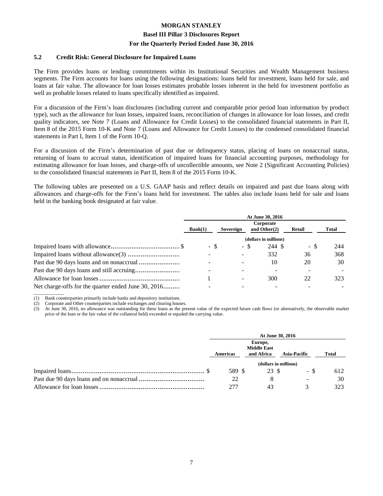#### **Basel III Pillar 3 Disclosures Report**

#### **For the Quarterly Period Ended June 30, 2016**

#### **5.2 Credit Risk: General Disclosure for Impaired Loans**

The Firm provides loans or lending commitments within its Institutional Securities and Wealth Management business segments. The Firm accounts for loans using the following designations: loans held for investment, loans held for sale, and loans at fair value. The allowance for loan losses estimates probable losses inherent in the held for investment portfolio as well as probable losses related to loans specifically identified as impaired.

For a discussion of the Firm's loan disclosures (including current and comparable prior period loan information by product type), such as the allowance for loan losses, impaired loans, reconciliation of changes in allowance for loan losses, and credit quality indicators, see Note 7 (Loans and Allowance for Credit Losses) to the consolidated financial statements in Part II, Item 8 of the 2015 Form 10-K and Note 7 (Loans and Allowance for Credit Losses) to the condensed consolidated financial statements in Part I, Item 1 of the Form 10-Q.

For a discussion of the Firm's determination of past due or delinquency status, placing of loans on nonaccrual status, returning of loans to accrual status, identification of impaired loans for financial accounting purposes, methodology for estimating allowance for loan losses, and charge-offs of uncollectible amounts, see Note 2 (Significant Accounting Policies) to the consolidated financial statements in Part II, Item 8 of the 2015 Form 10-K.

The following tables are presented on a U.S. GAAP basis and reflect details on impaired and past due loans along with allowances and charge-offs for the Firm's loans held for investment. The tables also include loans held for sale and loans held in the banking book designated at fair value.

|                                                     |         | At June 30, 2016 |                              |        |                          |  |  |  |  |
|-----------------------------------------------------|---------|------------------|------------------------------|--------|--------------------------|--|--|--|--|
|                                                     | Bank(1) | Sovereign        | Corporate<br>and Other $(2)$ | Retail | Total                    |  |  |  |  |
|                                                     |         |                  | (dollars in millions)        |        |                          |  |  |  |  |
|                                                     | - \$    | - \$             | 244 \$                       | - \$   | 244                      |  |  |  |  |
|                                                     |         |                  | 332                          | 36     | 368                      |  |  |  |  |
|                                                     |         |                  | 10                           | 20     | 30                       |  |  |  |  |
|                                                     |         |                  | -                            |        |                          |  |  |  |  |
|                                                     |         |                  | 300                          | 22     | 323                      |  |  |  |  |
| Net charge-offs for the quarter ended June 30, 2016 |         |                  | $\overline{\phantom{a}}$     |        | $\overline{\phantom{a}}$ |  |  |  |  |
|                                                     |         |                  |                              |        |                          |  |  |  |  |

(1) Bank counterparties primarily include banks and depository institutions.

(2) Corporate and Other counterparties include exchanges and clearing houses.

(3) At June 30, 2016, no allowance was outstanding for these loans as the present value of the expected future cash flows (or alternatively, the observable market price of the loan or the fair value of the collateral held) exceeded or equaled the carrying value.

| At June 30, 2016 |                               |                       |       |  |  |  |
|------------------|-------------------------------|-----------------------|-------|--|--|--|
|                  | Europe,<br><b>Middle East</b> |                       |       |  |  |  |
| Americas         | and Africa                    | <b>Asia-Pacific</b>   | Total |  |  |  |
|                  |                               | (dollars in millions) |       |  |  |  |
| 589 S            | 23 \$                         | - \$                  | 612   |  |  |  |
| 22               |                               | $\sim$                | 30    |  |  |  |
| 277              |                               |                       | 323   |  |  |  |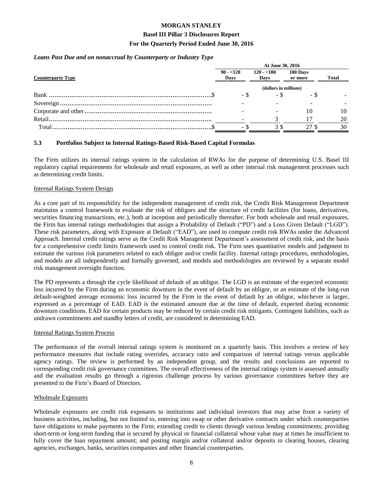#### **Basel III Pillar 3 Disclosures Report**

#### **For the Quarterly Period Ended June 30, 2016**

#### *Loans Past Due and on nonaccrual by Counterparty or Industry Type*

| At June 30, 2016      |                     |                     |              |  |  |  |
|-----------------------|---------------------|---------------------|--------------|--|--|--|
| $90 - 120$<br>Days    | $120 - 180$<br>Days | 180 Days<br>or more | <b>Total</b> |  |  |  |
| (dollars in millions) |                     |                     |              |  |  |  |
| - \$                  |                     | - 3                 |              |  |  |  |
|                       |                     |                     |              |  |  |  |
|                       |                     | 10                  | 10           |  |  |  |
|                       |                     |                     | 20           |  |  |  |
| - 3                   |                     | 27                  | 30           |  |  |  |
|                       |                     |                     | - 3          |  |  |  |

#### **5.3 Portfolios Subject to Internal Ratings-Based Risk-Based Capital Formulas**

The Firm utilizes its internal ratings system in the calculation of RWAs for the purpose of determining U.S. Basel III regulatory capital requirements for wholesale and retail exposures, as well as other internal risk management processes such as determining credit limits.

#### Internal Ratings System Design

As a core part of its responsibility for the independent management of credit risk, the Credit Risk Management Department maintains a control framework to evaluate the risk of obligors and the structure of credit facilities (for loans, derivatives, securities financing transactions, etc.), both at inception and periodically thereafter. For both wholesale and retail exposures, the Firm has internal ratings methodologies that assign a Probability of Default ("PD") and a Loss Given Default ("LGD"). These risk parameters, along with Exposure at Default ("EAD"), are used to compute credit risk RWAs under the Advanced Approach. Internal credit ratings serve as the Credit Risk Management Department's assessment of credit risk, and the basis for a comprehensive credit limits framework used to control credit risk. The Firm uses quantitative models and judgment to estimate the various risk parameters related to each obligor and/or credit facility. Internal ratings procedures, methodologies, and models are all independently and formally governed, and models and methodologies are reviewed by a separate model risk management oversight function.

The PD represents a through the cycle likelihood of default of an obligor. The LGD is an estimate of the expected economic loss incurred by the Firm during an economic downturn in the event of default by an obligor, or an estimate of the long-run default-weighted average economic loss incurred by the Firm in the event of default by an obligor, whichever is larger, expressed as a percentage of EAD. EAD is the estimated amount due at the time of default, expected during economic downturn conditions. EAD for certain products may be reduced by certain credit risk mitigants. Contingent liabilities, such as undrawn commitments and standby letters of credit, are considered in determining EAD.

#### Internal Ratings System Process

The performance of the overall internal ratings system is monitored on a quarterly basis. This involves a review of key performance measures that include rating overrides, accuracy ratio and comparison of internal ratings versus applicable agency ratings. The review is performed by an independent group, and the results and conclusions are reported to corresponding credit risk governance committees. The overall effectiveness of the internal ratings system is assessed annually and the evaluation results go through a rigorous challenge process by various governance committees before they are presented to the Firm's Board of Directors.

#### Wholesale Exposures

Wholesale exposures are credit risk exposures to institutions and individual investors that may arise from a variety of business activities, including, but not limited to, entering into swap or other derivative contracts under which counterparties have obligations to make payments to the Firm; extending credit to clients through various lending commitments; providing short-term or long-term funding that is secured by physical or financial collateral whose value may at times be insufficient to fully cover the loan repayment amount; and posting margin and/or collateral and/or deposits to clearing houses, clearing agencies, exchanges, banks, securities companies and other financial counterparties.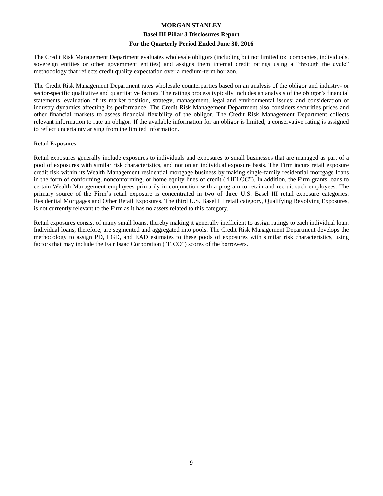#### **Basel III Pillar 3 Disclosures Report**

#### **For the Quarterly Period Ended June 30, 2016**

The Credit Risk Management Department evaluates wholesale obligors (including but not limited to: companies, individuals, sovereign entities or other government entities) and assigns them internal credit ratings using a "through the cycle" methodology that reflects credit quality expectation over a medium-term horizon.

The Credit Risk Management Department rates wholesale counterparties based on an analysis of the obligor and industry- or sector-specific qualitative and quantitative factors. The ratings process typically includes an analysis of the obligor's financial statements, evaluation of its market position, strategy, management, legal and environmental issues; and consideration of industry dynamics affecting its performance. The Credit Risk Management Department also considers securities prices and other financial markets to assess financial flexibility of the obligor. The Credit Risk Management Department collects relevant information to rate an obligor. If the available information for an obligor is limited, a conservative rating is assigned to reflect uncertainty arising from the limited information.

#### Retail Exposures

Retail exposures generally include exposures to individuals and exposures to small businesses that are managed as part of a pool of exposures with similar risk characteristics, and not on an individual exposure basis. The Firm incurs retail exposure credit risk within its Wealth Management residential mortgage business by making single-family residential mortgage loans in the form of conforming, nonconforming, or home equity lines of credit ("HELOC"). In addition, the Firm grants loans to certain Wealth Management employees primarily in conjunction with a program to retain and recruit such employees. The primary source of the Firm's retail exposure is concentrated in two of three U.S. Basel III retail exposure categories: Residential Mortgages and Other Retail Exposures. The third U.S. Basel III retail category, Qualifying Revolving Exposures, is not currently relevant to the Firm as it has no assets related to this category.

Retail exposures consist of many small loans, thereby making it generally inefficient to assign ratings to each individual loan. Individual loans, therefore, are segmented and aggregated into pools. The Credit Risk Management Department develops the methodology to assign PD, LGD, and EAD estimates to these pools of exposures with similar risk characteristics, using factors that may include the Fair Isaac Corporation ("FICO") scores of the borrowers.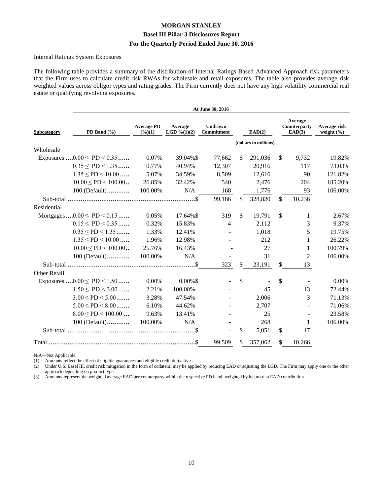#### **Internal Ratings System Exposures**

The following table provides a summary of the distribution of Internal Ratings Based Advanced Approach risk parameters that the Firm uses to calculate credit risk RWAs for wholesale and retail exposures. The table also provides average risk weighted values across obligor types and rating grades. The Firm currently does not have any high volatility commercial real estate or qualifying revolving exposures.

|                                 |                              |                                      |                          | At June 30, 2016             |     |                       |                                   |                                |
|---------------------------------|------------------------------|--------------------------------------|--------------------------|------------------------------|-----|-----------------------|-----------------------------------|--------------------------------|
| Subcategory                     | PD Band (%)                  | <b>Average PD</b><br>$(\frac{6}{1})$ | Average<br>LGD $%(1)(2)$ | <b>Undrawn</b><br>Commitment |     | EAD(2)                | Average<br>Counterparty<br>EAD(3) | Average risk<br>weight $(\% )$ |
|                                 |                              |                                      |                          |                              |     | (dollars in millions) |                                   |                                |
| Wholesale                       |                              |                                      |                          |                              |     |                       |                                   |                                |
| Exposures $0.00 \leq PD < 0.35$ |                              | 0.07%                                | 39.04%\$                 | 77,662                       | \$  | 291,036               | \$<br>9,732                       | 19.82%                         |
|                                 | $0.35 \leq P D \leq 1.35$    | 0.77%                                | 40.94%                   | 12,307                       |     | 20,916                | 117                               | 73.03%                         |
|                                 | $1.35 \leq PD < 10.00$       | 5.07%                                | 34.59%                   | 8,509                        |     | 12,616                | 90                                | 121.82%                        |
|                                 | $10.00 \leq P D \leq 100.00$ | 26.85%                               | 32.42%                   | 540                          |     | 2,476                 | 204                               | 185.20%                        |
|                                 | 100 (Default)                | 100.00%                              | N/A                      | 168                          |     | 1,776                 | 93                                | 106.00%                        |
|                                 |                              |                                      | .\$                      | 99,186                       | \$. | 328,820               | \$<br>10,236                      |                                |
| Residential                     |                              |                                      |                          |                              |     |                       |                                   |                                |
| Mortgages $0.00 \leq PD < 0.15$ |                              | 0.05%                                | 17.64%\$                 | 319                          | \$  | 19,791                | \$<br>1                           | 2.67%                          |
|                                 | $0.15 \leq P D < 0.35$       | 0.32%                                | 15.83%                   | 4                            |     | 2,112                 | 3                                 | 9.37%                          |
|                                 | $0.35 \leq PD < 1.35$        | 1.33%                                | 12.41%                   |                              |     | 1,018                 | 5                                 | 19.75%                         |
|                                 | $1.35 \leq PD < 10.00$       | 1.96%                                | 12.98%                   |                              |     | 212                   | 1                                 | 26.22%                         |
|                                 | $10.00 \leq P D \leq 100.00$ | 25.76%                               | 16.43%                   |                              |     | 27                    | 1                                 | 100.79%                        |
|                                 | $100$ (Default)              | 100.00%                              | N/A                      |                              |     | 31                    | $\mathbf{2}$                      | 106.00%                        |
|                                 |                              |                                      |                          | 323                          | \$. | 23,191                | \$<br>13                          |                                |
| <b>Other Retail</b>             |                              |                                      |                          |                              |     |                       |                                   |                                |
| Exposures $0.00 \leq PD < 1.50$ |                              | 0.00%                                | $0.00\%$ \$              |                              | \$  |                       | \$                                | 0.00%                          |
|                                 | $1.50 \leq PD < 3.00$        | 2.21%                                | 100.00%                  |                              |     | 45                    | 13                                | 72.44%                         |
|                                 | $3.00 \leq PD < 5.00$        | 3.28%                                | 47.54%                   |                              |     | 2,006                 | 3                                 | 71.13%                         |
|                                 | $5.00 \leq PD \leq 8.00$     | 6.10%                                | 44.62%                   |                              |     | 2,707                 |                                   | 71.06%                         |
|                                 | $8.00 \leq PD < 100.00$      | 9.63%                                | 13.41%                   |                              |     | 25                    |                                   | 23.58%                         |
|                                 | 100 (Default)                | 100.00%                              | N/A                      |                              |     | 268                   | 1                                 | 106.00%                        |
|                                 |                              |                                      |                          |                              | \$. | 5,051                 | \$<br>17                          |                                |
|                                 |                              |                                      |                          | 99,509                       | \$  | 357,062               | \$<br>10,266                      |                                |

N/A-Not Applicable

(1) Amounts reflect the effect of eligible guarantees and eligible credit derivatives.

Under U.S. Basel III, credit risk mitigation in the form of collateral may be applied by reducing EAD or adjusting the LGD. The Firm may apply one or the other  $(2)$ approach depending on product type.

Amounts represent the weighted average EAD per counterparty within the respective PD band, weighted by its pro rata EAD contribution.  $(3)$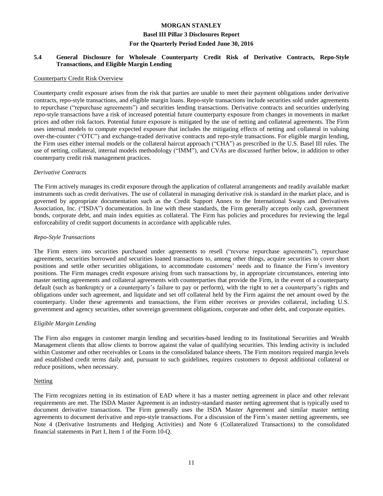#### **Basel III Pillar 3 Disclosures Report**

#### **For the Quarterly Period Ended June 30, 2016**

#### **5.4 General Disclosure for Wholesale Counterparty Credit Risk of Derivative Contracts, Repo-Style Transactions, and Eligible Margin Lending**

#### Counterparty Credit Risk Overview

Counterparty credit exposure arises from the risk that parties are unable to meet their payment obligations under derivative contracts, repo-style transactions, and eligible margin loans. Repo-style transactions include securities sold under agreements to repurchase ("repurchase agreements") and securities lending transactions. Derivative contracts and securities underlying repo-style transactions have a risk of increased potential future counterparty exposure from changes in movements in market prices and other risk factors. Potential future exposure is mitigated by the use of netting and collateral agreements. The Firm uses internal models to compute expected exposure that includes the mitigating effects of netting and collateral in valuing over-the-counter ("OTC") and exchange-traded derivative contracts and repo-style transactions. For eligible margin lending, the Firm uses either internal models or the collateral haircut approach ("CHA") as prescribed in the U.S. Basel III rules. The use of netting, collateral, internal models methodology ("IMM"), and CVAs are discussed further below, in addition to other counterparty credit risk management practices.

#### *Derivative Contracts*

The Firm actively manages its credit exposure through the application of collateral arrangements and readily available market instruments such as credit derivatives. The use of collateral in managing derivative risk is standard in the market place, and is governed by appropriate documentation such as the Credit Support Annex to the International Swaps and Derivatives Association, Inc. ("ISDA") documentation. In line with these standards, the Firm generally accepts only cash, government bonds, corporate debt, and main index equities as collateral. The Firm has policies and procedures for reviewing the legal enforceability of credit support documents in accordance with applicable rules.

#### *Repo-Style Transactions*

The Firm enters into securities purchased under agreements to resell ("reverse repurchase agreements"), repurchase agreements, securities borrowed and securities loaned transactions to, among other things, acquire securities to cover short positions and settle other securities obligations, to accommodate customers' needs and to finance the Firm's inventory positions. The Firm manages credit exposure arising from such transactions by, in appropriate circumstances, entering into master netting agreements and collateral agreements with counterparties that provide the Firm, in the event of a counterparty default (such as bankruptcy or a counterparty's failure to pay or perform), with the right to net a counterparty's rights and obligations under such agreement, and liquidate and set off collateral held by the Firm against the net amount owed by the counterparty. Under these agreements and transactions, the Firm either receives or provides collateral, including U.S. government and agency securities, other sovereign government obligations, corporate and other debt, and corporate equities.

#### *Eligible Margin Lending*

The Firm also engages in customer margin lending and securities-based lending to its Institutional Securities and Wealth Management clients that allow clients to borrow against the value of qualifying securities. This lending activity is included within Customer and other receivables or Loans in the consolidated balance sheets. The Firm monitors required margin levels and established credit terms daily and, pursuant to such guidelines, requires customers to deposit additional collateral or reduce positions, when necessary.

#### **Netting**

The Firm recognizes netting in its estimation of EAD where it has a master netting agreement in place and other relevant requirements are met. The ISDA Master Agreement is an industry-standard master netting agreement that is typically used to document derivative transactions. The Firm generally uses the ISDA Master Agreement and similar master netting agreements to document derivative and repo-style transactions. For a discussion of the Firm's master netting agreements, see Note 4 (Derivative Instruments and Hedging Activities) and Note 6 (Collateralized Transactions) to the consolidated financial statements in Part I, Item 1 of the Form 10-Q.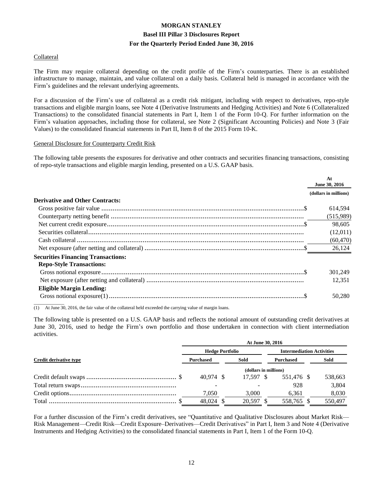#### **Collateral**

The Firm may require collateral depending on the credit profile of the Firm's counterparties. There is an established infrastructure to manage, maintain, and value collateral on a daily basis. Collateral held is managed in accordance with the Firm's guidelines and the relevant underlying agreements.

For a discussion of the Firm's use of collateral as a credit risk mitigant, including with respect to derivatives, repo-style transactions and eligible margin loans, see Note 4 (Derivative Instruments and Hedging Activities) and Note 6 (Collateralized Transactions) to the consolidated financial statements in Part I, Item 1 of the Form 10-Q. For further information on the Firm's valuation approaches, including those for collateral, see Note 2 (Significant Accounting Policies) and Note 3 (Fair Values) to the consolidated financial statements in Part II, Item 8 of the 2015 Form 10-K.

#### General Disclosure for Counterparty Credit Risk

The following table presents the exposures for derivative and other contracts and securities financing transactions, consisting of repo-style transactions and eligible margin lending, presented on a U.S. GAAP basis.

|                                           | At<br>June 30, 2016   |
|-------------------------------------------|-----------------------|
|                                           | (dollars in millions) |
| <b>Derivative and Other Contracts:</b>    |                       |
|                                           | 614,594               |
|                                           | (515,989)             |
|                                           | 98,605                |
|                                           | (12,011)              |
|                                           | (60, 470)             |
|                                           | 26,124                |
| <b>Securities Financing Transactions:</b> |                       |
| <b>Repo-Style Transactions:</b>           |                       |
|                                           | 301.249               |
|                                           | 12.351                |
| <b>Eligible Margin Lending:</b>           |                       |
|                                           | 50,280                |
|                                           |                       |

(1) At June 30, 2016, the fair value of the collateral held exceeded the carrying value of margin loans.

The following table is presented on a U.S. GAAP basis and reflects the notional amount of outstanding credit derivatives at June 30, 2016, used to hedge the Firm's own portfolio and those undertaken in connection with client intermediation activities.

|                        | At June 30, 2016       |  |           |                       |                                  |  |         |  |  |
|------------------------|------------------------|--|-----------|-----------------------|----------------------------------|--|---------|--|--|
|                        | <b>Hedge Portfolio</b> |  |           |                       | <b>Intermediation Activities</b> |  |         |  |  |
| Credit derivative type | <b>Purchased</b>       |  | Sold      |                       | <b>Purchased</b>                 |  | Sold    |  |  |
|                        |                        |  |           | (dollars in millions) |                                  |  |         |  |  |
|                        | 40.974 \$              |  | 17.597 \$ |                       | 551,476 \$                       |  | 538,663 |  |  |
|                        |                        |  |           |                       | 928                              |  | 3,804   |  |  |
|                        | 7,050                  |  | 3,000     |                       | 6,361                            |  | 8,030   |  |  |
|                        | 48.024 \$              |  | 20,597    |                       | 558,765 \$                       |  | 550,497 |  |  |

For a further discussion of the Firm's credit derivatives, see "Quantitative and Qualitative Disclosures about Market Risk— Risk Management—Credit Risk—Credit Exposure–Derivatives—Credit Derivatives" in Part I, Item 3 and Note 4 (Derivative Instruments and Hedging Activities) to the consolidated financial statements in Part I, Item 1 of the Form 10-Q.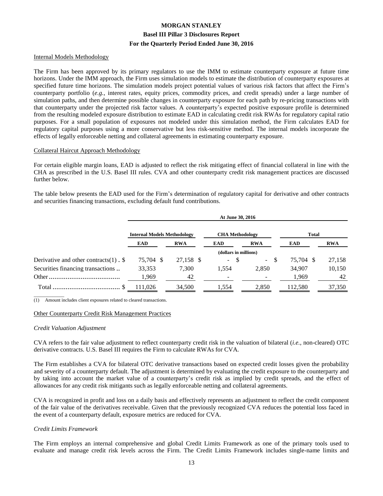#### Internal Models Methodology

The Firm has been approved by its primary regulators to use the IMM to estimate counterparty exposure at future time horizons. Under the IMM approach, the Firm uses simulation models to estimate the distribution of counterparty exposures at specified future time horizons. The simulation models project potential values of various risk factors that affect the Firm's counterparty portfolio (*e.g.*, interest rates, equity prices, commodity prices, and credit spreads) under a large number of simulation paths, and then determine possible changes in counterparty exposure for each path by re-pricing transactions with that counterparty under the projected risk factor values. A counterparty's expected positive exposure profile is determined from the resulting modeled exposure distribution to estimate EAD in calculating credit risk RWAs for regulatory capital ratio purposes. For a small population of exposures not modeled under this simulation method, the Firm calculates EAD for regulatory capital purposes using a more conservative but less risk-sensitive method. The internal models incorporate the effects of legally enforceable netting and collateral agreements in estimating counterparty exposure.

#### Collateral Haircut Approach Methodology

For certain eligible margin loans, EAD is adjusted to reflect the risk mitigating effect of financial collateral in line with the CHA as prescribed in the U.S. Basel III rules. CVA and other counterparty credit risk management practices are discussed further below.

The table below presents the EAD used for the Firm's determination of regulatory capital for derivative and other contracts and securities financing transactions, excluding default fund contributions.

|                                           | At June 30, 2016                   |            |                          |                  |              |            |  |  |
|-------------------------------------------|------------------------------------|------------|--------------------------|------------------|--------------|------------|--|--|
|                                           | <b>Internal Models Methodology</b> |            | <b>CHA</b> Methodology   |                  | <b>Total</b> |            |  |  |
|                                           | EAD                                | <b>RWA</b> | EAD                      | <b>RWA</b>       | EAD          | <b>RWA</b> |  |  |
|                                           |                                    |            | (dollars in millions)    |                  |              |            |  |  |
| Derivative and other contracts $(1)$ . \$ | 75,704 \$                          | 27,158 \$  | -S<br>$\sim$             | -S<br>$\sim$ $-$ | 75,704 \$    | 27,158     |  |  |
| Securities financing transactions         | 33,353                             | 7,300      | 1,554                    | 2,850            | 34,907       | 10,150     |  |  |
|                                           | 1,969                              | 42         | $\overline{\phantom{a}}$ |                  | 1,969        | 42         |  |  |
|                                           | 111,026                            | 34,500     | l.554                    | 2,850            | 112,580      | 37,350     |  |  |
|                                           |                                    |            |                          |                  |              |            |  |  |

(1) Amount includes client exposures related to cleared transactions.

#### Other Counterparty Credit Risk Management Practices

#### *Credit Valuation Adjustment*

CVA refers to the fair value adjustment to reflect counterparty credit risk in the valuation of bilateral (*i.e.,* non-cleared) OTC derivative contracts. U.S. Basel III requires the Firm to calculate RWAs for CVA.

The Firm establishes a CVA for bilateral OTC derivative transactions based on expected credit losses given the probability and severity of a counterparty default. The adjustment is determined by evaluating the credit exposure to the counterparty and by taking into account the market value of a counterparty's credit risk as implied by credit spreads, and the effect of allowances for any credit risk mitigants such as legally enforceable netting and collateral agreements.

CVA is recognized in profit and loss on a daily basis and effectively represents an adjustment to reflect the credit component of the fair value of the derivatives receivable. Given that the previously recognized CVA reduces the potential loss faced in the event of a counterparty default, exposure metrics are reduced for CVA.

#### *Credit Limits Framework*

The Firm employs an internal comprehensive and global Credit Limits Framework as one of the primary tools used to evaluate and manage credit risk levels across the Firm. The Credit Limits Framework includes single-name limits and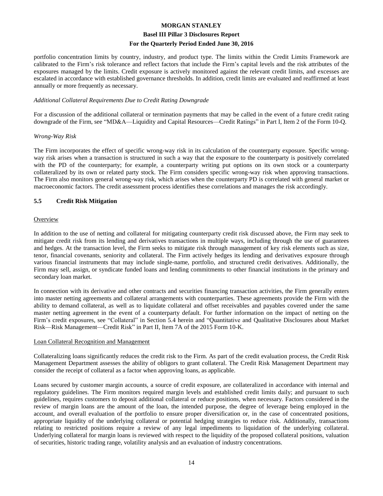#### **Basel III Pillar 3 Disclosures Report**

#### **For the Quarterly Period Ended June 30, 2016**

portfolio concentration limits by country, industry, and product type. The limits within the Credit Limits Framework are calibrated to the Firm's risk tolerance and reflect factors that include the Firm's capital levels and the risk attributes of the exposures managed by the limits. Credit exposure is actively monitored against the relevant credit limits, and excesses are escalated in accordance with established governance thresholds. In addition, credit limits are evaluated and reaffirmed at least annually or more frequently as necessary.

#### *Additional Collateral Requirements Due to Credit Rating Downgrade*

For a discussion of the additional collateral or termination payments that may be called in the event of a future credit rating downgrade of the Firm, see "MD&A—Liquidity and Capital Resources—Credit Ratings" in Part I, Item 2 of the Form 10-Q.

#### *Wrong-Way Risk*

The Firm incorporates the effect of specific wrong-way risk in its calculation of the counterparty exposure. Specific wrongway risk arises when a transaction is structured in such a way that the exposure to the counterparty is positively correlated with the PD of the counterparty; for example, a counterparty writing put options on its own stock or a counterparty collateralized by its own or related party stock. The Firm considers specific wrong-way risk when approving transactions. The Firm also monitors general wrong-way risk, which arises when the counterparty PD is correlated with general market or macroeconomic factors. The credit assessment process identifies these correlations and manages the risk accordingly.

#### **5.5 Credit Risk Mitigation**

#### **Overview**

In addition to the use of netting and collateral for mitigating counterparty credit risk discussed above, the Firm may seek to mitigate credit risk from its lending and derivatives transactions in multiple ways, including through the use of guarantees and hedges. At the transaction level, the Firm seeks to mitigate risk through management of key risk elements such as size, tenor, financial covenants, seniority and collateral. The Firm actively hedges its lending and derivatives exposure through various financial instruments that may include single-name, portfolio, and structured credit derivatives. Additionally, the Firm may sell, assign, or syndicate funded loans and lending commitments to other financial institutions in the primary and secondary loan market.

In connection with its derivative and other contracts and securities financing transaction activities, the Firm generally enters into master netting agreements and collateral arrangements with counterparties. These agreements provide the Firm with the ability to demand collateral, as well as to liquidate collateral and offset receivables and payables covered under the same master netting agreement in the event of a counterparty default. For further information on the impact of netting on the Firm's credit exposures, see "Collateral" in Section 5.4 herein and "Quantitative and Qualitative Disclosures about Market Risk—Risk Management—Credit Risk" in Part II, Item 7A of the 2015 Form 10-K.

#### Loan Collateral Recognition and Management

Collateralizing loans significantly reduces the credit risk to the Firm. As part of the credit evaluation process, the Credit Risk Management Department assesses the ability of obligors to grant collateral. The Credit Risk Management Department may consider the receipt of collateral as a factor when approving loans, as applicable.

Loans secured by customer margin accounts, a source of credit exposure, are collateralized in accordance with internal and regulatory guidelines. The Firm monitors required margin levels and established credit limits daily; and pursuant to such guidelines, requires customers to deposit additional collateral or reduce positions, when necessary. Factors considered in the review of margin loans are the amount of the loan, the intended purpose, the degree of leverage being employed in the account, and overall evaluation of the portfolio to ensure proper diversification or, in the case of concentrated positions, appropriate liquidity of the underlying collateral or potential hedging strategies to reduce risk. Additionally, transactions relating to restricted positions require a review of any legal impediments to liquidation of the underlying collateral. Underlying collateral for margin loans is reviewed with respect to the liquidity of the proposed collateral positions, valuation of securities, historic trading range, volatility analysis and an evaluation of industry concentrations.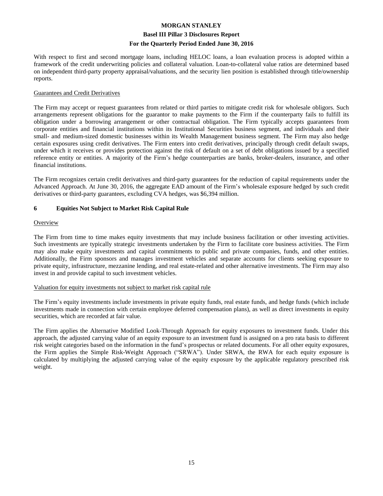#### **Basel III Pillar 3 Disclosures Report**

#### **For the Quarterly Period Ended June 30, 2016**

With respect to first and second mortgage loans, including HELOC loans, a loan evaluation process is adopted within a framework of the credit underwriting policies and collateral valuation. Loan-to-collateral value ratios are determined based on independent third-party property appraisal/valuations, and the security lien position is established through title/ownership reports.

#### Guarantees and Credit Derivatives

The Firm may accept or request guarantees from related or third parties to mitigate credit risk for wholesale obligors. Such arrangements represent obligations for the guarantor to make payments to the Firm if the counterparty fails to fulfill its obligation under a borrowing arrangement or other contractual obligation. The Firm typically accepts guarantees from corporate entities and financial institutions within its Institutional Securities business segment, and individuals and their small- and medium-sized domestic businesses within its Wealth Management business segment. The Firm may also hedge certain exposures using credit derivatives. The Firm enters into credit derivatives, principally through credit default swaps, under which it receives or provides protection against the risk of default on a set of debt obligations issued by a specified reference entity or entities. A majority of the Firm's hedge counterparties are banks, broker-dealers, insurance, and other financial institutions.

The Firm recognizes certain credit derivatives and third-party guarantees for the reduction of capital requirements under the Advanced Approach. At June 30, 2016, the aggregate EAD amount of the Firm's wholesale exposure hedged by such credit derivatives or third-party guarantees, excluding CVA hedges, was \$6,394 million.

#### **6 Equities Not Subject to Market Risk Capital Rule**

#### **Overview**

The Firm from time to time makes equity investments that may include business facilitation or other investing activities. Such investments are typically strategic investments undertaken by the Firm to facilitate core business activities. The Firm may also make equity investments and capital commitments to public and private companies, funds, and other entities. Additionally, the Firm sponsors and manages investment vehicles and separate accounts for clients seeking exposure to private equity, infrastructure, mezzanine lending, and real estate-related and other alternative investments. The Firm may also invest in and provide capital to such investment vehicles.

#### Valuation for equity investments not subject to market risk capital rule

The Firm's equity investments include investments in private equity funds, real estate funds, and hedge funds (which include investments made in connection with certain employee deferred compensation plans), as well as direct investments in equity securities, which are recorded at fair value.

The Firm applies the Alternative Modified Look-Through Approach for equity exposures to investment funds. Under this approach, the adjusted carrying value of an equity exposure to an investment fund is assigned on a pro rata basis to different risk weight categories based on the information in the fund's prospectus or related documents. For all other equity exposures, the Firm applies the Simple Risk-Weight Approach ("SRWA"). Under SRWA, the RWA for each equity exposure is calculated by multiplying the adjusted carrying value of the equity exposure by the applicable regulatory prescribed risk weight.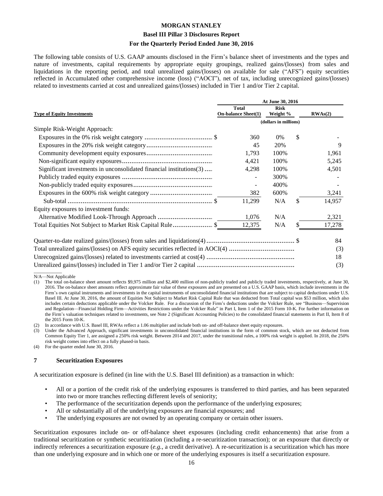#### **Basel III Pillar 3 Disclosures Report**

#### **For the Quarterly Period Ended June 30, 2016**

The following table consists of U.S. GAAP amounts disclosed in the Firm's balance sheet of investments and the types and nature of investments, capital requirements by appropriate equity groupings, realized gains/(losses) from sales and liquidations in the reporting period, and total unrealized gains/(losses) on available for sale ("AFS") equity securities reflected in Accumulated other comprehensive income (loss) ("AOCI"), net of tax, including unrecognized gains/(losses) related to investments carried at cost and unrealized gains/(losses) included in Tier 1 and/or Tier 2 capital.

|                                                                     | At June 30, 2016                           |                         |    |         |  |  |  |  |  |
|---------------------------------------------------------------------|--------------------------------------------|-------------------------|----|---------|--|--|--|--|--|
| <b>Type of Equity Investments</b>                                   | <b>Total</b><br><b>On-balance Sheet(1)</b> | <b>Risk</b><br>Weight % |    | RWAs(2) |  |  |  |  |  |
|                                                                     | (dollars in millions)                      |                         |    |         |  |  |  |  |  |
| Simple Risk-Weight Approach:                                        |                                            |                         |    |         |  |  |  |  |  |
|                                                                     | 360                                        | 0%                      | \$ |         |  |  |  |  |  |
|                                                                     | 45                                         | 20%                     |    | 9       |  |  |  |  |  |
|                                                                     | 1,793                                      | 100%                    |    | 1,961   |  |  |  |  |  |
|                                                                     | 4,421                                      | 100%                    |    | 5,245   |  |  |  |  |  |
| Significant investments in unconsolidated financial institutions(3) | 4,298                                      | 100%                    |    | 4,501   |  |  |  |  |  |
|                                                                     |                                            | 300%                    |    |         |  |  |  |  |  |
|                                                                     |                                            | 400%                    |    |         |  |  |  |  |  |
|                                                                     | 382                                        | 600%                    |    | 3,241   |  |  |  |  |  |
|                                                                     | 11,299                                     | N/A                     | \$ | 14,957  |  |  |  |  |  |
| Equity exposures to investment funds:                               |                                            |                         |    |         |  |  |  |  |  |
|                                                                     | 1,076                                      | N/A                     |    | 2,321   |  |  |  |  |  |
| Total Equities Not Subject to Market Risk Capital Rule \$           | 12,375                                     | N/A                     | \$ | 17,278  |  |  |  |  |  |
|                                                                     |                                            |                         |    | 84      |  |  |  |  |  |
|                                                                     |                                            |                         |    | (3)     |  |  |  |  |  |
|                                                                     |                                            |                         |    | 18      |  |  |  |  |  |
|                                                                     |                                            |                         |    | (3)     |  |  |  |  |  |

\_\_\_\_\_\_\_\_\_\_\_\_ N/A—Not Applicable

In accordance with U.S. Basel III, RWAs reflect a 1.06 multiplier and include both on- and off-balance sheet equity exposures.

Under the Advanced Approach, significant investments in unconsolidated financial institutions in the form of common stock, which are not deducted from Common Equity Tier 1, are assigned a 250% risk weight. Between 2014 and 2017, under the transitional rules, a 100% risk weight is applied. In 2018, the 250% risk weight comes into effect on a fully phased-in basis.

(4) For the quarter ended June 30, 2016.

#### **7 Securitization Exposures**

A securitization exposure is defined (in line with the U.S. Basel III definition) as a transaction in which:

- All or a portion of the credit risk of the underlying exposures is transferred to third parties, and has been separated into two or more tranches reflecting different levels of seniority;
- The performance of the securitization depends upon the performance of the underlying exposures;
- All or substantially all of the underlying exposures are financial exposures; and
- The underlying exposures are not owned by an operating company or certain other issuers.

Securitization exposures include on- or off-balance sheet exposures (including credit enhancements) that arise from a traditional securitization or synthetic securitization (including a re-securitization transaction); or an exposure that directly or indirectly references a securitization exposure (*e.g.*, a credit derivative). A re-securitization is a securitization which has more than one underlying exposure and in which one or more of the underlying exposures is itself a securitization exposure.

<sup>(1)</sup> The total on-balance sheet amount reflects \$9,975 million and \$2,400 million of non-publicly traded and publicly traded investments, respectively, at June 30, 2016. The on-balance sheet amounts reflect approximate fair value of these exposures and are presented on a U.S. GAAP basis, which include investments in the Firm's own capital instruments and investments in the capital instruments of unconsolidated financial institutions that are subject to capital deductions under U.S. Basel III. At June 30, 2016, the amount of Equities Not Subject to Market Risk Capital Rule that was deducted from Total capital was \$53 million, which also includes certain deductions applicable under the Volcker Rule. For a discussion of the Firm's deductions under the Volcker Rule, see "Business—Supervision and Regulation—Financial Holding Firm—Activities Restrictions under the Volcker Rule" in Part I, Item 1 of the 2015 Form 10-K. For further information on the Firm's valuation techniques related to investments, see Note 2 (Significant Accounting Policies) to the consolidated financial statements in Part II, Item 8 of the 2015 Form 10-K.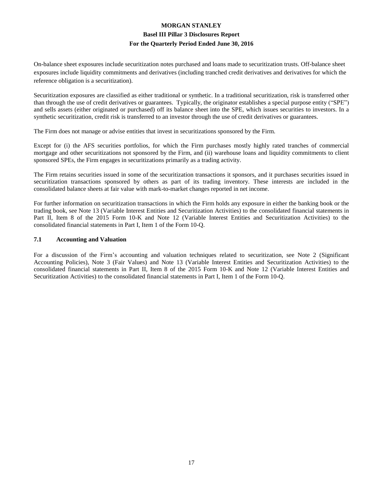On-balance sheet exposures include securitization notes purchased and loans made to securitization trusts. Off-balance sheet exposures include liquidity commitments and derivatives (including tranched credit derivatives and derivatives for which the reference obligation is a securitization).

Securitization exposures are classified as either traditional or synthetic. In a traditional securitization, risk is transferred other than through the use of credit derivatives or guarantees. Typically, the originator establishes a special purpose entity ("SPE") and sells assets (either originated or purchased) off its balance sheet into the SPE, which issues securities to investors. In a synthetic securitization, credit risk is transferred to an investor through the use of credit derivatives or guarantees.

The Firm does not manage or advise entities that invest in securitizations sponsored by the Firm.

Except for (i) the AFS securities portfolios, for which the Firm purchases mostly highly rated tranches of commercial mortgage and other securitizations not sponsored by the Firm, and (ii) warehouse loans and liquidity commitments to client sponsored SPEs, the Firm engages in securitizations primarily as a trading activity.

The Firm retains securities issued in some of the securitization transactions it sponsors, and it purchases securities issued in securitization transactions sponsored by others as part of its trading inventory. These interests are included in the consolidated balance sheets at fair value with mark-to-market changes reported in net income.

For further information on securitization transactions in which the Firm holds any exposure in either the banking book or the trading book, see Note 13 (Variable Interest Entities and Securitization Activities) to the consolidated financial statements in Part II, Item 8 of the 2015 Form 10-K and Note 12 (Variable Interest Entities and Securitization Activities) to the consolidated financial statements in Part I, Item 1 of the Form 10-Q.

#### **7.1 Accounting and Valuation**

For a discussion of the Firm's accounting and valuation techniques related to securitization, see Note 2 (Significant Accounting Policies), Note 3 (Fair Values) and Note 13 (Variable Interest Entities and Securitization Activities) to the consolidated financial statements in Part II, Item 8 of the 2015 Form 10-K and Note 12 (Variable Interest Entities and Securitization Activities) to the consolidated financial statements in Part I, Item 1 of the Form 10-Q.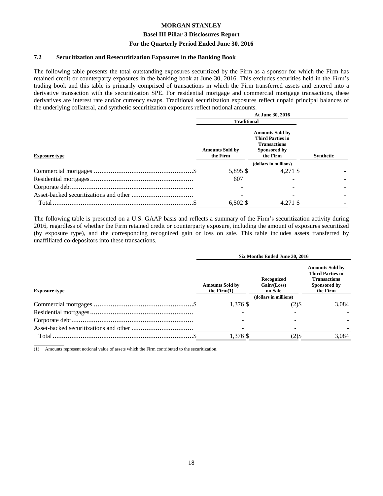#### **Basel III Pillar 3 Disclosures Report**

#### **For the Quarterly Period Ended June 30, 2016**

#### **7.2 Securitization and Resecuritization Exposures in the Banking Book**

The following table presents the total outstanding exposures securitized by the Firm as a sponsor for which the Firm has retained credit or counterparty exposures in the banking book at June 30, 2016. This excludes securities held in the Firm's trading book and this table is primarily comprised of transactions in which the Firm transferred assets and entered into a derivative transaction with the securitization SPE. For residential mortgage and commercial mortgage transactions, these derivatives are interest rate and/or currency swaps. Traditional securitization exposures reflect unpaid principal balances of the underlying collateral, and synthetic securitization exposures reflect notional amounts.

| At June 30, 2016                   |                                                                                                      |                                            |  |  |  |  |
|------------------------------------|------------------------------------------------------------------------------------------------------|--------------------------------------------|--|--|--|--|
|                                    |                                                                                                      |                                            |  |  |  |  |
| <b>Amounts Sold by</b><br>the Firm | <b>Amounts Sold by</b><br><b>Third Parties in</b><br><b>Transactions</b><br>Sponsored by<br>the Firm | Synthetic                                  |  |  |  |  |
|                                    | (dollars in millions)                                                                                |                                            |  |  |  |  |
| 5,895 \$                           |                                                                                                      |                                            |  |  |  |  |
| 607                                |                                                                                                      |                                            |  |  |  |  |
|                                    |                                                                                                      |                                            |  |  |  |  |
|                                    |                                                                                                      |                                            |  |  |  |  |
| $6,502$ \$                         |                                                                                                      |                                            |  |  |  |  |
|                                    |                                                                                                      | <b>Traditional</b><br>4.271 \$<br>4,271 \$ |  |  |  |  |

The following table is presented on a U.S. GAAP basis and reflects a summary of the Firm's securitization activity during 2016, regardless of whether the Firm retained credit or counterparty exposure, including the amount of exposures securitized (by exposure type), and the corresponding recognized gain or loss on sale. This table includes assets transferred by unaffiliated co-depositors into these transactions.

|                      | Six Months Ended June 30, 2016          |                                        |                                                                                                      |  |  |  |
|----------------------|-----------------------------------------|----------------------------------------|------------------------------------------------------------------------------------------------------|--|--|--|
| <b>Exposure type</b> | <b>Amounts Sold by</b><br>the $Firm(1)$ | Recognized<br>Gain / (Loss)<br>on Sale | <b>Amounts Sold by</b><br><b>Third Parties in</b><br><b>Transactions</b><br>Sponsored by<br>the Firm |  |  |  |
|                      |                                         | (dollars in millions)                  |                                                                                                      |  |  |  |
|                      | $1.376$ \$                              | (2)\$                                  | 3.084                                                                                                |  |  |  |
|                      |                                         |                                        |                                                                                                      |  |  |  |
|                      |                                         |                                        |                                                                                                      |  |  |  |
|                      |                                         |                                        |                                                                                                      |  |  |  |
|                      | 1,376 \$                                | (2)\$                                  | 3,084                                                                                                |  |  |  |
|                      |                                         |                                        |                                                                                                      |  |  |  |

\_\_\_\_\_\_\_\_\_\_\_\_\_ (1) Amounts represent notional value of assets which the Firm contributed to the securitization.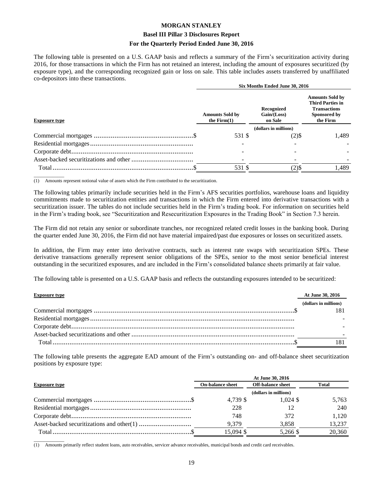#### **Basel III Pillar 3 Disclosures Report**

#### **For the Quarterly Period Ended June 30, 2016**

The following table is presented on a U.S. GAAP basis and reflects a summary of the Firm's securitization activity during 2016, for those transactions in which the Firm has not retained an interest, including the amount of exposures securitized (by exposure type), and the corresponding recognized gain or loss on sale. This table includes assets transferred by unaffiliated co-depositors into these transactions.

|                      |                                         | Six Months Ended June 30, 2016       |                                                                                                      |  |  |  |
|----------------------|-----------------------------------------|--------------------------------------|------------------------------------------------------------------------------------------------------|--|--|--|
| <b>Exposure type</b> | <b>Amounts Sold by</b><br>the $Firm(1)$ | Recognized<br>Gain/(Loss)<br>on Sale | <b>Amounts Sold by</b><br><b>Third Parties in</b><br><b>Transactions</b><br>Sponsored by<br>the Firm |  |  |  |
|                      |                                         | (dollars in millions)                |                                                                                                      |  |  |  |
|                      | 531 \$                                  | (2)\$                                | 1.489                                                                                                |  |  |  |
|                      |                                         |                                      |                                                                                                      |  |  |  |
|                      |                                         |                                      |                                                                                                      |  |  |  |
|                      |                                         |                                      |                                                                                                      |  |  |  |
|                      | 531 \$                                  | $(2)$ \$                             | 1,489                                                                                                |  |  |  |
|                      |                                         |                                      |                                                                                                      |  |  |  |

\_\_\_\_\_\_\_\_\_\_\_\_\_  $\overline{(1)}$  Amounts represent notional value of assets which the Firm contributed to the securitization.

The following tables primarily include securities held in the Firm's AFS securities portfolios, warehouse loans and liquidity commitments made to securitization entities and transactions in which the Firm entered into derivative transactions with a securitization issuer. The tables do not include securities held in the Firm's trading book. For information on securities held in the Firm's trading book, see "Securitization and Resecuritization Exposures in the Trading Book" in Section 7.3 herein.

The Firm did not retain any senior or subordinate tranches, nor recognized related credit losses in the banking book. During the quarter ended June 30, 2016, the Firm did not have material impaired/past due exposures or losses on securitized assets.

In addition, the Firm may enter into derivative contracts, such as interest rate swaps with securitization SPEs. These derivative transactions generally represent senior obligations of the SPEs, senior to the most senior beneficial interest outstanding in the securitized exposures, and are included in the Firm's consolidated balance sheets primarily at fair value.

The following table is presented on a U.S. GAAP basis and reflects the outstanding exposures intended to be securitized:

| <b>Exposure type</b> | At June 30, 2016      |
|----------------------|-----------------------|
|                      | (dollars in millions) |
|                      | $18^{\circ}$          |
|                      |                       |
|                      |                       |
|                      |                       |
| Total.               | 181                   |
|                      |                       |

The following table presents the aggregate EAD amount of the Firm's outstanding on- and off-balance sheet securitization positions by exposure type:

|                      | At June 30, 2016        |                          |        |  |  |  |  |
|----------------------|-------------------------|--------------------------|--------|--|--|--|--|
| <b>Exposure type</b> | <b>On-balance sheet</b> | <b>Off-balance sheet</b> | Total  |  |  |  |  |
|                      | (dollars in millions)   |                          |        |  |  |  |  |
|                      | 4.739 \$                | $1.024$ \$               | 5,763  |  |  |  |  |
|                      | 228                     |                          | 240    |  |  |  |  |
|                      | 748                     | 372                      | 1.120  |  |  |  |  |
|                      | 9.379                   | 3.858                    | 13,237 |  |  |  |  |
|                      | 15,094 \$               | 5.266 \$                 | 20,360 |  |  |  |  |

\_\_\_\_\_\_\_\_\_\_\_\_\_ (1) Amounts primarily reflect student loans, auto receivables, servicer advance receivables, municipal bonds and credit card receivables.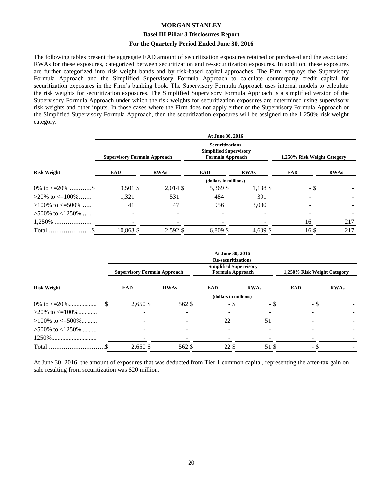#### **Basel III Pillar 3 Disclosures Report**

#### **For the Quarterly Period Ended June 30, 2016**

The following tables present the aggregate EAD amount of securitization exposures retained or purchased and the associated RWAs for these exposures, categorized between securitization and re-securitization exposures. In addition, these exposures are further categorized into risk weight bands and by risk-based capital approaches. The Firm employs the Supervisory Formula Approach and the Simplified Supervisory Formula Approach to calculate counterparty credit capital for securitization exposures in the Firm's banking book. The Supervisory Formula Approach uses internal models to calculate the risk weights for securitization exposures. The Simplified Supervisory Formula Approach is a simplified version of the Supervisory Formula Approach under which the risk weights for securitization exposures are determined using supervisory risk weights and other inputs. In those cases where the Firm does not apply either of the Supervisory Formula Approach or the Simplified Supervisory Formula Approach, then the securitization exposures will be assigned to the 1,250% risk weight category.

|                          | At June 30, 2016                    |             |                                                   |             |                             |             |  |  |
|--------------------------|-------------------------------------|-------------|---------------------------------------------------|-------------|-----------------------------|-------------|--|--|
|                          |                                     |             | <b>Securitizations</b>                            |             |                             |             |  |  |
|                          | <b>Supervisory Formula Approach</b> |             | <b>Simplified Supervisory</b><br>Formula Approach |             | 1,250% Risk Weight Category |             |  |  |
| <b>Risk Weight</b>       | <b>EAD</b>                          | <b>RWAs</b> | <b>EAD</b>                                        | <b>RWAs</b> | EAD                         | <b>RWAs</b> |  |  |
|                          |                                     |             | (dollars in millions)                             |             |                             |             |  |  |
| 0\% to $\leq$ =20\% \$   | $9,501$ \$                          | $2,014$ \$  | 5,369 \$                                          | $1,138$ \$  | - \$                        |             |  |  |
| $>20\%$ to $\leq 100\%$  | 1,321                               | 531         | 484                                               | 391         |                             |             |  |  |
| $>100\%$ to $\leq 500\%$ | 41                                  | 47          | 956                                               | 3.080       |                             |             |  |  |
| $>500\%$ to $<1250\%$    |                                     |             |                                                   |             |                             |             |  |  |
| $1,250\%$                |                                     |             |                                                   |             | 16                          | 217         |  |  |
| Total                    | 10,863 \$                           | 2,592 \$    | $6,809$ \$                                        | $4,609$ \$  | 16 <sup>3</sup>             | 217         |  |  |
|                          |                                     |             |                                                   |             |                             |             |  |  |

|                          |  | At June 30, 2016                    |                          |                                                                                |                 |                             |             |  |  |
|--------------------------|--|-------------------------------------|--------------------------|--------------------------------------------------------------------------------|-----------------|-----------------------------|-------------|--|--|
|                          |  | <b>Supervisory Formula Approach</b> |                          | <b>Re-securitizations</b><br><b>Simplified Supervisory</b><br>Formula Approach |                 | 1,250% Risk Weight Category |             |  |  |
| <b>Risk Weight</b>       |  | EAD                                 | <b>RWAs</b>              | <b>EAD</b>                                                                     | <b>RWAs</b>     | EAD                         | <b>RWAs</b> |  |  |
|                          |  |                                     |                          | (dollars in millions)                                                          |                 |                             |             |  |  |
|                          |  | 2,650 \$                            | 562 \$                   | - \$                                                                           | - \$            | - \$                        |             |  |  |
| $>20\%$ to $\leq 100\%$  |  |                                     | $\overline{a}$           |                                                                                |                 |                             |             |  |  |
| $>100\%$ to $\leq 500\%$ |  |                                     |                          | 22                                                                             | 51              |                             |             |  |  |
| $>500\%$ to $<1250\%$    |  |                                     | $\overline{\phantom{a}}$ |                                                                                | $\qquad \qquad$ |                             |             |  |  |
|                          |  |                                     |                          |                                                                                |                 |                             |             |  |  |
|                          |  | 2,650 \$                            | 562 \$                   | 22 \$                                                                          | 51 \$           | - ა                         |             |  |  |

At June 30, 2016, the amount of exposures that was deducted from Tier 1 common capital, representing the after-tax gain on sale resulting from securitization was \$20 million.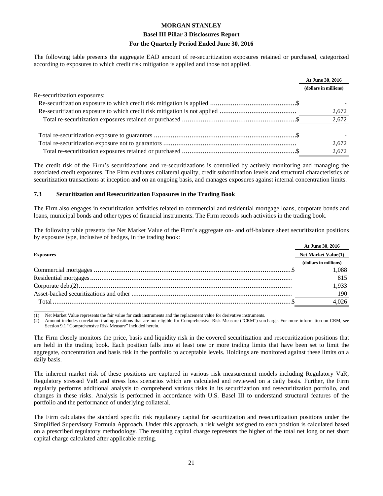#### **Basel III Pillar 3 Disclosures Report**

#### **For the Quarterly Period Ended June 30, 2016**

The following table presents the aggregate EAD amount of re-securitization exposures retained or purchased, categorized according to exposures to which credit risk mitigation is applied and those not applied.

|                              | <b>At June 30, 2016</b> |  |
|------------------------------|-------------------------|--|
|                              | (dollars in millions)   |  |
| Re-securitization exposures: |                         |  |
|                              |                         |  |
|                              | 2,672                   |  |
|                              | 2,672                   |  |
|                              |                         |  |
|                              | 2,672                   |  |
|                              | 2,672                   |  |
|                              |                         |  |

The credit risk of the Firm's securitizations and re-securitizations is controlled by actively monitoring and managing the associated credit exposures. The Firm evaluates collateral quality, credit subordination levels and structural characteristics of securitization transactions at inception and on an ongoing basis, and manages exposures against internal concentration limits.

#### **7.3 Securitization and Resecuritization Exposures in the Trading Book**

The Firm also engages in securitization activities related to commercial and residential mortgage loans, corporate bonds and loans, municipal bonds and other types of financial instruments. The Firm records such activities in the trading book.

The following table presents the Net Market Value of the Firm's aggregate on- and off-balance sheet securitization positions by exposure type, inclusive of hedges, in the trading book:

|                  | At June 30, 2016           |
|------------------|----------------------------|
| <b>Exposures</b> | <b>Net Market Value(1)</b> |
|                  | (dollars in millions)      |
|                  | 1.088                      |
|                  | 815                        |
|                  | 1.933                      |
|                  | 190                        |
| Total.           | 4.026                      |
|                  |                            |

 $\overline{\phantom{a}}$ (1) Net Market Value represents the fair value for cash instruments and the replacement value for derivative instruments.

Amount includes correlation trading positions that are not eligible for Comprehensive Risk Measure ("CRM") surcharge. For more information on CRM, see Section 9.1 "Comprehensive Risk Measure" included herein.

The Firm closely monitors the price, basis and liquidity risk in the covered securitization and resecuritization positions that are held in the trading book. Each position falls into at least one or more trading limits that have been set to limit the aggregate, concentration and basis risk in the portfolio to acceptable levels. Holdings are monitored against these limits on a daily basis.

The inherent market risk of these positions are captured in various risk measurement models including Regulatory VaR, Regulatory stressed VaR and stress loss scenarios which are calculated and reviewed on a daily basis. Further, the Firm regularly performs additional analysis to comprehend various risks in its securitization and resecuritization portfolio, and changes in these risks. Analysis is performed in accordance with U.S. Basel III to understand structural features of the portfolio and the performance of underlying collateral.

The Firm calculates the standard specific risk regulatory capital for securitization and resecuritization positions under the Simplified Supervisory Formula Approach. Under this approach, a risk weight assigned to each position is calculated based on a prescribed regulatory methodology. The resulting capital charge represents the higher of the total net long or net short capital charge calculated after applicable netting.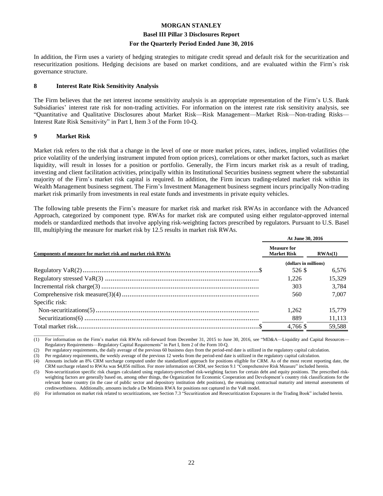#### **Basel III Pillar 3 Disclosures Report**

#### **For the Quarterly Period Ended June 30, 2016**

In addition, the Firm uses a variety of hedging strategies to mitigate credit spread and default risk for the securitization and resecuritization positions. Hedging decisions are based on market conditions, and are evaluated within the Firm's risk governance structure.

#### **8 Interest Rate Risk Sensitivity Analysis**

The Firm believes that the net interest income sensitivity analysis is an appropriate representation of the Firm's U.S. Bank Subsidiaries' interest rate risk for non-trading activities. For information on the interest rate risk sensitivity analysis, see "Quantitative and Qualitative Disclosures about Market Risk—Risk Management—Market Risk—Non-trading Risks— Interest Rate Risk Sensitivity" in Part I, Item 3 of the Form 10-Q.

#### **9 Market Risk**

Market risk refers to the risk that a change in the level of one or more market prices, rates, indices, implied volatilities (the price volatility of the underlying instrument imputed from option prices), correlations or other market factors, such as market liquidity, will result in losses for a position or portfolio. Generally, the Firm incurs market risk as a result of trading, investing and client facilitation activities, principally within its Institutional Securities business segment where the substantial majority of the Firm's market risk capital is required. In addition, the Firm incurs trading-related market risk within its Wealth Management business segment. The Firm's Investment Management business segment incurs principally Non-trading market risk primarily from investments in real estate funds and investments in private equity vehicles.

The following table presents the Firm's measure for market risk and market risk RWAs in accordance with the Advanced Approach, categorized by component type. RWAs for market risk are computed using either regulator-approved internal models or standardized methods that involve applying risk-weighting factors prescribed by regulators. Pursuant to U.S. Basel III, multiplying the measure for market risk by 12.5 results in market risk RWAs.

|                                                            | At June 30, 2016                         |         |  |  |  |
|------------------------------------------------------------|------------------------------------------|---------|--|--|--|
| Components of measure for market risk and market risk RWAs | <b>Measure for</b><br><b>Market Risk</b> | RWAs(1) |  |  |  |
|                                                            | (dollars in millions)                    |         |  |  |  |
|                                                            | 526 \$                                   | 6.576   |  |  |  |
|                                                            | 1.226                                    | 15.329  |  |  |  |
|                                                            | 303                                      | 3.784   |  |  |  |
|                                                            | 560                                      | 7.007   |  |  |  |
| Specific risk:                                             |                                          |         |  |  |  |
|                                                            | 1.262                                    | 15.779  |  |  |  |
|                                                            | 889                                      | 11,113  |  |  |  |
|                                                            | 4.766 \$                                 | 59,588  |  |  |  |
|                                                            |                                          |         |  |  |  |

\_\_\_\_\_\_\_\_\_\_\_\_\_ (1) For information on the Firm's market risk RWAs roll-forward from December 31, 2015 to June 30, 2016, see "MD&A—Liquidity and Capital Resources— Regulatory Requirements—Regulatory Capital Requirements" in Part I, Item 2 of the Form 10-Q.

(2) Per regulatory requirements, the daily average of the previous 60 business days from the period-end date is utilized in the regulatory capital calculation.

(3) Per regulatory requirements, the weekly average of the previous 12 weeks from the period-end date is utilized in the regulatory capital calculation.

(4) Amounts include an 8% CRM surcharge computed under the standardized approach for positions eligible for CRM. As of the most recent reporting date, the CRM surcharge related to RWAs was \$4,856 million. For more information on CRM, see Section 9.1 "Comprehensive Risk Measure" included herein.

For information on market risk related to securitizations, see Section 7.3 "Securitization and Resecuritization Exposures in the Trading Book" included herein.

<sup>(5)</sup> Non-securitization specific risk charges calculated using regulatory-prescribed risk-weighting factors for certain debt and equity positions. The prescribed riskweighting factors are generally based on, among other things, the Organization for Economic Cooperation and Development's country risk classifications for the relevant home country (in the case of public sector and depository institution debt positions), the remaining contractual maturity and internal assessments of creditworthiness. Additionally, amounts include a De Minimis RWA for positions not captured in the VaR model.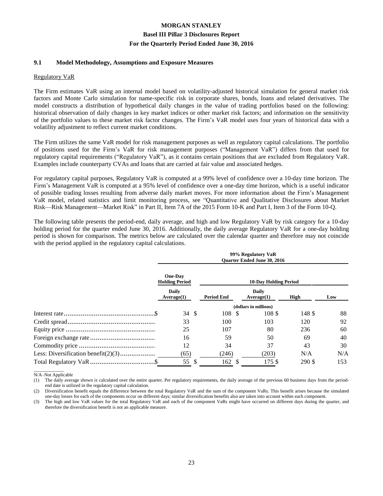#### **9.1 Model Methodology, Assumptions and Exposure Measures**

#### Regulatory VaR

The Firm estimates VaR using an internal model based on volatility-adjusted historical simulation for general market risk factors and Monte Carlo simulation for name-specific risk in corporate shares, bonds, loans and related derivatives. The model constructs a distribution of hypothetical daily changes in the value of trading portfolios based on the following: historical observation of daily changes in key market indices or other market risk factors; and information on the sensitivity of the portfolio values to these market risk factor changes. The Firm's VaR model uses four years of historical data with a volatility adjustment to reflect current market conditions.

The Firm utilizes the same VaR model for risk management purposes as well as regulatory capital calculations. The portfolio of positions used for the Firm's VaR for risk management purposes ("Management VaR") differs from that used for regulatory capital requirements ("Regulatory VaR"), as it contains certain positions that are excluded from Regulatory VaR. Examples include counterparty CVAs and loans that are carried at fair value and associated hedges.

For regulatory capital purposes, Regulatory VaR is computed at a 99% level of confidence over a 10-day time horizon. The Firm's Management VaR is computed at a 95% level of confidence over a one-day time horizon, which is a useful indicator of possible trading losses resulting from adverse daily market moves. For more information about the Firm's Management VaR model, related statistics and limit monitoring process, see "Quantitative and Qualitative Disclosures about Market Risk—Risk Management—Market Risk" in Part II, Item 7A of the 2015 Form 10-K and Part I, Item 3 of the Form 10-Q.

The following table presents the period-end, daily average, and high and low Regulatory VaR by risk category for a 10-day holding period for the quarter ended June 30, 2016. Additionally, the daily average Regulatory VaR for a one-day holding period is shown for comparison. The metrics below are calculated over the calendar quarter and therefore may not coincide with the period applied in the regulatory capital calculations.

|                                         | 99% Regulatory VaR<br><b>Ouarter Ended June 30, 2016</b> |                            |             |     |  |  |  |  |  |
|-----------------------------------------|----------------------------------------------------------|----------------------------|-------------|-----|--|--|--|--|--|
| <b>One-Day</b><br><b>Holding Period</b> | <b>10-Day Holding Period</b>                             |                            |             |     |  |  |  |  |  |
| <b>Daily</b><br>Average(1)              | <b>Period End</b>                                        | <b>Daily</b><br>Average(1) | <b>High</b> | Low |  |  |  |  |  |
|                                         |                                                          | (dollars in millions)      |             |     |  |  |  |  |  |
| <sup>\$</sup><br>34                     | 108 \$                                                   | 108 \$                     | 148 \$      | 88  |  |  |  |  |  |
| 33                                      | 100                                                      | 103                        | 120         | 92  |  |  |  |  |  |
| 25                                      | 107                                                      | 80                         | 236         | 60  |  |  |  |  |  |
| 16                                      | 59                                                       | 50                         | 69          | 40  |  |  |  |  |  |
| 12                                      | 34                                                       | 37                         | 43          | 30  |  |  |  |  |  |
| (65)                                    | (246)                                                    | (203)                      | N/A         | N/A |  |  |  |  |  |
| 55<br>S                                 | $162 \text{ }$ \$                                        | 175 \$                     | 290 \$      | 153 |  |  |  |  |  |

\_\_\_\_\_\_\_\_\_\_\_\_\_ N/A–Not Applicable

(1) The daily average shown is calculated over the entire quarter. Per regulatory requirements, the daily average of the previous 60 business days from the periodend date is utilized in the regulatory capital calculation.

(2) Diversification benefit equals the difference between the total Regulatory VaR and the sum of the component VaRs. This benefit arises because the simulated one-day losses for each of the components occur on different days; similar diversification benefits also are taken into account within each component.

(3) The high and low VaR values for the total Regulatory VaR and each of the component VaRs might have occurred on different days during the quarter, and therefore the diversification benefit is not an applicable measure.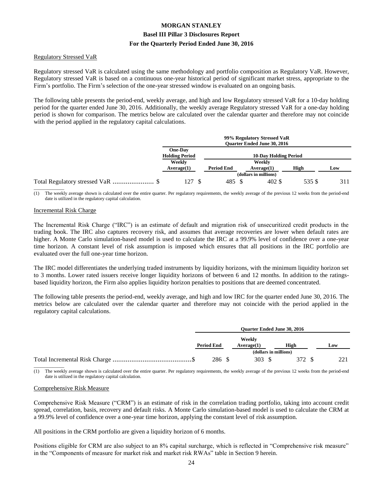#### Regulatory Stressed VaR

Regulatory stressed VaR is calculated using the same methodology and portfolio composition as Regulatory VaR. However, Regulatory stressed VaR is based on a continuous one-year historical period of significant market stress, appropriate to the Firm's portfolio. The Firm's selection of the one-year stressed window is evaluated on an ongoing basis.

The following table presents the period-end, weekly average, and high and low Regulatory stressed VaR for a 10-day holding period for the quarter ended June 30, 2016. Additionally, the weekly average Regulatory stressed VaR for a one-day holding period is shown for comparison. The metrics below are calculated over the calendar quarter and therefore may not coincide with the period applied in the regulatory capital calculations.

|                                  | 99% Regulatory Stressed VaR<br><b>Ouarter Ended June 30, 2016</b> |                   |  |                              |        |     |  |  |
|----------------------------------|-------------------------------------------------------------------|-------------------|--|------------------------------|--------|-----|--|--|
| One-Day<br><b>Holding Period</b> |                                                                   |                   |  | <b>10-Day Holding Period</b> |        |     |  |  |
| Weekly<br>Average(1)             |                                                                   | <b>Period End</b> |  | Weekly<br>Average(1)         | High   | Low |  |  |
|                                  |                                                                   |                   |  | (dollars in millions)        |        |     |  |  |
| 127 \$                           |                                                                   | 485 \$            |  | 402 \$                       | 535 \$ | 311 |  |  |

The weekly average shown is calculated over the entire quarter. Per regulatory requirements, the weekly average of the previous 12 weeks from the period-end date is utilized in the regulatory capital calculation.

#### Incremental Risk Charge

The Incremental Risk Charge ("IRC") is an estimate of default and migration risk of unsecuritized credit products in the trading book. The IRC also captures recovery risk, and assumes that average recoveries are lower when default rates are higher. A Monte Carlo simulation-based model is used to calculate the IRC at a 99.9% level of confidence over a one-year time horizon. A constant level of risk assumption is imposed which ensures that all positions in the IRC portfolio are evaluated over the full one-year time horizon.

The IRC model differentiates the underlying traded instruments by liquidity horizons, with the minimum liquidity horizon set to 3 months. Lower rated issuers receive longer liquidity horizons of between 6 and 12 months. In addition to the ratingsbased liquidity horizon, the Firm also applies liquidity horizon penalties to positions that are deemed concentrated.

The following table presents the period-end, weekly average, and high and low IRC for the quarter ended June 30, 2016. The metrics below are calculated over the calendar quarter and therefore may not coincide with the period applied in the regulatory capital calculations.

| Weekly<br><b>Period End</b> |     |            | <b>Ouarter Ended June 30, 2016</b> |                                |  |
|-----------------------------|-----|------------|------------------------------------|--------------------------------|--|
|                             |     | Average(1) | High                               | Low                            |  |
|                             | 286 | 303        | 372                                | າາ<br>$\overline{\phantom{a}}$ |  |

\_\_\_\_\_\_\_\_\_\_\_\_\_ (1) The weekly average shown is calculated over the entire quarter. Per regulatory requirements, the weekly average of the previous 12 weeks from the period-end date is utilized in the regulatory capital calculation.

#### Comprehensive Risk Measure

Comprehensive Risk Measure ("CRM") is an estimate of risk in the correlation trading portfolio, taking into account credit spread, correlation, basis, recovery and default risks. A Monte Carlo simulation-based model is used to calculate the CRM at a 99.9% level of confidence over a one-year time horizon, applying the constant level of risk assumption.

All positions in the CRM portfolio are given a liquidity horizon of 6 months.

Positions eligible for CRM are also subject to an 8% capital surcharge, which is reflected in "Comprehensive risk measure" in the "Components of measure for market risk and market risk RWAs" table in Section 9 herein.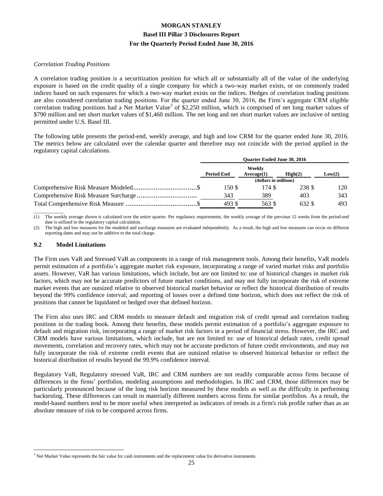#### *Correlation Trading Positions*

A correlation trading position is a securitization position for which all or substantially all of the value of the underlying exposure is based on the credit quality of a single company for which a two-way market exists, or on commonly traded indices based on such exposures for which a two-way market exists on the indices. Hedges of correlation trading positions are also considered correlation trading positions. For the quarter ended June 30, 2016, the Firm's aggregate CRM eligible correlation trading positions had a Net Market Value<sup>3</sup> of  $$2,250$  million, which is comprised of net long market values of \$790 million and net short market values of \$1,460 million. The net long and net short market values are inclusive of netting permitted under U.S. Basel III.

The following table presents the period-end, weekly average, and high and low CRM for the quarter ended June 30, 2016. The metrics below are calculated over the calendar quarter and therefore may not coincide with the period applied in the regulatory capital calculations.

|        | Weekly            |            | Low(2)                                                                            |
|--------|-------------------|------------|-----------------------------------------------------------------------------------|
|        |                   |            |                                                                                   |
| 150 S  | 174 S             | 238 \$     | 120                                                                               |
| 343    | 389               | 403        | 343                                                                               |
| 493 \$ | 563 \$            | 632 \$     | 493                                                                               |
|        | <b>Period End</b> | Average(1) | <b>Ouarter Ended June 30, 2016</b><br>$\mathbf{High}(2)$<br>(dollars in millions) |

\_\_\_\_\_\_\_\_\_\_\_\_\_ The weekly average shown is calculated over the entire quarter. Per regulatory requirements, the weekly average of the previous 12 weeks from the period-end date is utilized in the regulatory capital calculation.

(2) The high and low measures for the modeled and surcharge measures are evaluated independently. As a result, the high and low measures can occur on different reporting dates and may not be additive to the total charge.

#### **9.2 Model Limitations**

 $\overline{a}$ 

The Firm uses VaR and Stressed VaR as components in a range of risk management tools. Among their benefits, VaR models permit estimation of a portfolio's aggregate market risk exposure, incorporating a range of varied market risks and portfolio assets. However, VaR has various limitations, which include, but are not limited to: use of historical changes in market risk factors, which may not be accurate predictors of future market conditions, and may not fully incorporate the risk of extreme market events that are outsized relative to observed historical market behavior or reflect the historical distribution of results beyond the 99% confidence interval; and reporting of losses over a defined time horizon, which does not reflect the risk of positions that cannot be liquidated or hedged over that defined horizon.

The Firm also uses IRC and CRM models to measure default and migration risk of credit spread and correlation trading positions in the trading book. Among their benefits, these models permit estimation of a portfolio's aggregate exposure to default and migration risk, incorporating a range of market risk factors in a period of financial stress. However, the IRC and CRM models have various limitations, which include, but are not limited to: use of historical default rates, credit spread movements, correlation and recovery rates, which may not be accurate predictors of future credit environments, and may not fully incorporate the risk of extreme credit events that are outsized relative to observed historical behavior or reflect the historical distribution of results beyond the 99.9% confidence interval.

Regulatory VaR, Regulatory stressed VaR, IRC and CRM numbers are not readily comparable across firms because of differences in the firms' portfolios, modeling assumptions and methodologies. In IRC and CRM, those differences may be particularly pronounced because of the long risk horizon measured by these models as well as the difficulty in performing backtesting. These differences can result in materially different numbers across firms for similar portfolios. As a result, the model-based numbers tend to be more useful when interpreted as indicators of trends in a firm's risk profile rather than as an absolute measure of risk to be compared across firms.

<sup>&</sup>lt;sup>3</sup> Net Market Value represents the fair value for cash instruments and the replacement value for derivative instruments.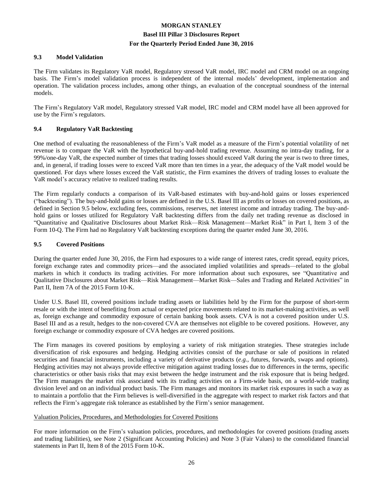#### **9.3 Model Validation**

The Firm validates its Regulatory VaR model, Regulatory stressed VaR model, IRC model and CRM model on an ongoing basis. The Firm's model validation process is independent of the internal models' development, implementation and operation. The validation process includes, among other things, an evaluation of the conceptual soundness of the internal models.

The Firm's Regulatory VaR model, Regulatory stressed VaR model, IRC model and CRM model have all been approved for use by the Firm's regulators.

#### **9.4 Regulatory VaR Backtesting**

One method of evaluating the reasonableness of the Firm's VaR model as a measure of the Firm's potential volatility of net revenue is to compare the VaR with the hypothetical buy-and-hold trading revenue. Assuming no intra-day trading, for a 99%/one-day VaR, the expected number of times that trading losses should exceed VaR during the year is two to three times, and, in general, if trading losses were to exceed VaR more than ten times in a year, the adequacy of the VaR model would be questioned. For days where losses exceed the VaR statistic, the Firm examines the drivers of trading losses to evaluate the VaR model's accuracy relative to realized trading results.

The Firm regularly conducts a comparison of its VaR-based estimates with buy-and-hold gains or losses experienced ("backtesting"). The buy-and-hold gains or losses are defined in the U.S. Basel III as profits or losses on covered positions, as defined in Section 9.5 below, excluding fees, commissions, reserves, net interest income and intraday trading. The buy-andhold gains or losses utilized for Regulatory VaR backtesting differs from the daily net trading revenue as disclosed in "Quantitative and Qualitative Disclosures about Market Risk—Risk Management—Market Risk" in Part I, Item 3 of the Form 10-Q. The Firm had no Regulatory VaR backtesting exceptions during the quarter ended June 30, 2016.

#### **9.5 Covered Positions**

During the quarter ended June 30, 2016, the Firm had exposures to a wide range of interest rates, credit spread, equity prices, foreign exchange rates and commodity prices—and the associated implied volatilities and spreads—related to the global markets in which it conducts its trading activities. For more information about such exposures, see "Quantitative and Qualitative Disclosures about Market Risk—Risk Management—Market Risk—Sales and Trading and Related Activities" in Part II, Item 7A of the 2015 Form 10-K.

Under U.S. Basel III, covered positions include trading assets or liabilities held by the Firm for the purpose of short-term resale or with the intent of benefiting from actual or expected price movements related to its market-making activities, as well as, foreign exchange and commodity exposure of certain banking book assets. CVA is not a covered position under U.S. Basel III and as a result, hedges to the non-covered CVA are themselves not eligible to be covered positions. However, any foreign exchange or commodity exposure of CVA hedges are covered positions.

The Firm manages its covered positions by employing a variety of risk mitigation strategies. These strategies include diversification of risk exposures and hedging. Hedging activities consist of the purchase or sale of positions in related securities and financial instruments, including a variety of derivative products (*e.g.*, futures, forwards, swaps and options). Hedging activities may not always provide effective mitigation against trading losses due to differences in the terms, specific characteristics or other basis risks that may exist between the hedge instrument and the risk exposure that is being hedged. The Firm manages the market risk associated with its trading activities on a Firm-wide basis, on a world-wide trading division level and on an individual product basis. The Firm manages and monitors its market risk exposures in such a way as to maintain a portfolio that the Firm believes is well-diversified in the aggregate with respect to market risk factors and that reflects the Firm's aggregate risk tolerance as established by the Firm's senior management.

#### Valuation Policies, Procedures, and Methodologies for Covered Positions

For more information on the Firm's valuation policies, procedures, and methodologies for covered positions (trading assets and trading liabilities), see Note 2 (Significant Accounting Policies) and Note 3 (Fair Values) to the consolidated financial statements in Part II, Item 8 of the 2015 Form 10-K.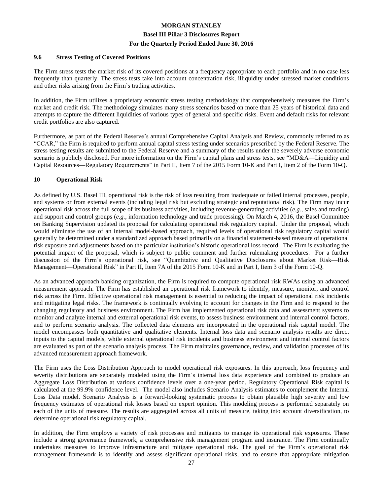#### **Basel III Pillar 3 Disclosures Report**

#### **For the Quarterly Period Ended June 30, 2016**

#### **9.6 Stress Testing of Covered Positions**

The Firm stress tests the market risk of its covered positions at a frequency appropriate to each portfolio and in no case less frequently than quarterly. The stress tests take into account concentration risk, illiquidity under stressed market conditions and other risks arising from the Firm's trading activities.

In addition, the Firm utilizes a proprietary economic stress testing methodology that comprehensively measures the Firm's market and credit risk. The methodology simulates many stress scenarios based on more than 25 years of historical data and attempts to capture the different liquidities of various types of general and specific risks. Event and default risks for relevant credit portfolios are also captured.

Furthermore, as part of the Federal Reserve's annual Comprehensive Capital Analysis and Review, commonly referred to as "CCAR," the Firm is required to perform annual capital stress testing under scenarios prescribed by the Federal Reserve. The stress testing results are submitted to the Federal Reserve and a summary of the results under the severely adverse economic scenario is publicly disclosed. For more information on the Firm's capital plans and stress tests, see "MD&A—Liquidity and Capital Resources—Regulatory Requirements" in Part II, Item 7 of the 2015 Form 10-K and Part I, Item 2 of the Form 10-Q.

#### **10 Operational Risk**

As defined by U.S. Basel III, operational risk is the risk of loss resulting from inadequate or failed internal processes, people, and systems or from external events (including legal risk but excluding strategic and reputational risk). The Firm may incur operational risk across the full scope of its business activities, including revenue-generating activities (*e.g.*, sales and trading) and support and control groups (*e.g.*, information technology and trade processing). On March 4, 2016, the Basel Committee on Banking Supervision updated its proposal for calculating operational risk regulatory capital. Under the proposal, which would eliminate the use of an internal model-based approach, required levels of operational risk regulatory capital would generally be determined under a standardized approach based primarily on a financial statement-based measure of operational risk exposure and adjustments based on the particular institution's historic operational loss record. The Firm is evaluating the potential impact of the proposal, which is subject to public comment and further rulemaking procedures. For a further discussion of the Firm's operational risk, see "Quantitative and Qualitative Disclosures about Market Risk—Risk Management—Operational Risk" in Part II, Item 7A of the 2015 Form 10-K and in Part I, Item 3 of the Form 10-Q.

As an advanced approach banking organization, the Firm is required to compute operational risk RWAs using an advanced measurement approach. The Firm has established an operational risk framework to identify, measure, monitor, and control risk across the Firm. Effective operational risk management is essential to reducing the impact of operational risk incidents and mitigating legal risks. The framework is continually evolving to account for changes in the Firm and to respond to the changing regulatory and business environment. The Firm has implemented operational risk data and assessment systems to monitor and analyze internal and external operational risk events, to assess business environment and internal control factors, and to perform scenario analysis. The collected data elements are incorporated in the operational risk capital model. The model encompasses both quantitative and qualitative elements. Internal loss data and scenario analysis results are direct inputs to the capital models, while external operational risk incidents and business environment and internal control factors are evaluated as part of the scenario analysis process. The Firm maintains governance, review, and validation processes of its advanced measurement approach framework.

The Firm uses the Loss Distribution Approach to model operational risk exposures. In this approach, loss frequency and severity distributions are separately modeled using the Firm's internal loss data experience and combined to produce an Aggregate Loss Distribution at various confidence levels over a one-year period. Regulatory Operational Risk capital is calculated at the 99.9% confidence level. The model also includes Scenario Analysis estimates to complement the Internal Loss Data model. Scenario Analysis is a forward-looking systematic process to obtain plausible high severity and low frequency estimates of operational risk losses based on expert opinion. This modeling process is performed separately on each of the units of measure. The results are aggregated across all units of measure, taking into account diversification, to determine operational risk regulatory capital.

In addition, the Firm employs a variety of risk processes and mitigants to manage its operational risk exposures. These include a strong governance framework, a comprehensive risk management program and insurance. The Firm continually undertakes measures to improve infrastructure and mitigate operational risk. The goal of the Firm's operational risk management framework is to identify and assess significant operational risks, and to ensure that appropriate mitigation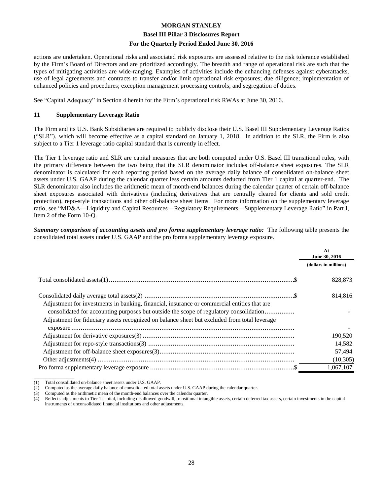#### **Basel III Pillar 3 Disclosures Report**

#### **For the Quarterly Period Ended June 30, 2016**

actions are undertaken. Operational risks and associated risk exposures are assessed relative to the risk tolerance established by the Firm's Board of Directors and are prioritized accordingly. The breadth and range of operational risk are such that the types of mitigating activities are wide-ranging. Examples of activities include the enhancing defenses against cyberattacks, use of legal agreements and contracts to transfer and/or limit operational risk exposures; due diligence; implementation of enhanced policies and procedures; exception management processing controls; and segregation of duties.

See "Capital Adequacy" in Section 4 herein for the Firm's operational risk RWAs at June 30, 2016.

#### **11 Supplementary Leverage Ratio**

The Firm and its U.S. Bank Subsidiaries are required to publicly disclose their U.S. Basel III Supplementary Leverage Ratios ("SLR"), which will become effective as a capital standard on January 1, 2018. In addition to the SLR, the Firm is also subject to a Tier 1 leverage ratio capital standard that is currently in effect.

The Tier 1 leverage ratio and SLR are capital measures that are both computed under U.S. Basel III transitional rules, with the primary difference between the two being that the SLR denominator includes off-balance sheet exposures. The SLR denominator is calculated for each reporting period based on the average daily balance of consolidated on-balance sheet assets under U.S. GAAP during the calendar quarter less certain amounts deducted from Tier 1 capital at quarter-end. The SLR denominator also includes the arithmetic mean of month-end balances during the calendar quarter of certain off-balance sheet exposures associated with derivatives (including derivatives that are centrally cleared for clients and sold credit protection), repo-style transactions and other off-balance sheet items. For more information on the supplementary leverage ratio, see "MD&A—Liquidity and Capital Resources—Regulatory Requirements—Supplementary Leverage Ratio" in Part I, Item 2 of the Form 10-Q.

*Summary comparison of accounting assets and pro forma supplementary leverage ratio:* The following table presents the consolidated total assets under U.S. GAAP and the pro forma supplementary leverage exposure.

|                                                                                                                                                                                                                                                                                       | At<br>June 30, 2016   |
|---------------------------------------------------------------------------------------------------------------------------------------------------------------------------------------------------------------------------------------------------------------------------------------|-----------------------|
|                                                                                                                                                                                                                                                                                       | (dollars in millions) |
|                                                                                                                                                                                                                                                                                       | 828,873               |
| Adjustment for investments in banking, financial, insurance or commercial entities that are<br>consolidated for accounting purposes but outside the scope of regulatory consolidation<br>Adjustment for fiduciary assets recognized on balance sheet but excluded from total leverage | 814.816               |
|                                                                                                                                                                                                                                                                                       |                       |
|                                                                                                                                                                                                                                                                                       | 190,520               |
|                                                                                                                                                                                                                                                                                       | 14,582                |
|                                                                                                                                                                                                                                                                                       | 57,494                |
|                                                                                                                                                                                                                                                                                       | (10, 305)             |
|                                                                                                                                                                                                                                                                                       | 1.067.107             |

<sup>(1)</sup> Total consolidated on-balance sheet assets under U.S. GAAP.

\_\_\_\_\_\_\_\_\_\_\_\_\_

<sup>(2)</sup> Computed as the average daily balance of consolidated total assets under U.S. GAAP during the calendar quarter.

<sup>(3)</sup> Computed as the arithmetic mean of the month-end balances over the calendar quarter.

<sup>(4)</sup> Reflects adjustments to Tier 1 capital, including disallowed goodwill, transitional intangible assets, certain deferred tax assets, certain investments in the capital instruments of unconsolidated financial institutions and other adjustments.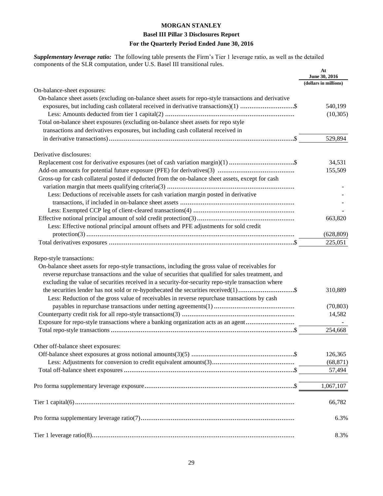#### **Basel III Pillar 3 Disclosures Report**

#### **For the Quarterly Period Ended June 30, 2016**

*Supplementary leverage ratio:* The following table presents the Firm's Tier 1 leverage ratio, as well as the detailed components of the SLR computation, under U.S. Basel III transitional rules.

|                                                                                                                                                                                                                                                                                                                                                                                                                                                                                                                                  | At<br>June 30, 2016            |
|----------------------------------------------------------------------------------------------------------------------------------------------------------------------------------------------------------------------------------------------------------------------------------------------------------------------------------------------------------------------------------------------------------------------------------------------------------------------------------------------------------------------------------|--------------------------------|
| On-balance-sheet exposures:                                                                                                                                                                                                                                                                                                                                                                                                                                                                                                      | (dollars in millions)          |
| On-balance sheet assets (excluding on-balance sheet assets for repo-style transactions and derivative                                                                                                                                                                                                                                                                                                                                                                                                                            |                                |
| exposures, but including cash collateral received in derivative transactions)(1) \$                                                                                                                                                                                                                                                                                                                                                                                                                                              | 540,199                        |
|                                                                                                                                                                                                                                                                                                                                                                                                                                                                                                                                  | (10,305)                       |
| Total on-balance sheet exposures (excluding on-balance sheet assets for repo style                                                                                                                                                                                                                                                                                                                                                                                                                                               |                                |
| transactions and derivatives exposures, but including cash collateral received in                                                                                                                                                                                                                                                                                                                                                                                                                                                |                                |
|                                                                                                                                                                                                                                                                                                                                                                                                                                                                                                                                  | 529,894                        |
|                                                                                                                                                                                                                                                                                                                                                                                                                                                                                                                                  |                                |
| Derivative disclosures:                                                                                                                                                                                                                                                                                                                                                                                                                                                                                                          |                                |
|                                                                                                                                                                                                                                                                                                                                                                                                                                                                                                                                  | 34,531                         |
|                                                                                                                                                                                                                                                                                                                                                                                                                                                                                                                                  | 155,509                        |
| Gross-up for cash collateral posted if deducted from the on-balance sheet assets, except for cash                                                                                                                                                                                                                                                                                                                                                                                                                                |                                |
|                                                                                                                                                                                                                                                                                                                                                                                                                                                                                                                                  |                                |
| Less: Deductions of receivable assets for cash variation margin posted in derivative                                                                                                                                                                                                                                                                                                                                                                                                                                             |                                |
|                                                                                                                                                                                                                                                                                                                                                                                                                                                                                                                                  |                                |
|                                                                                                                                                                                                                                                                                                                                                                                                                                                                                                                                  |                                |
|                                                                                                                                                                                                                                                                                                                                                                                                                                                                                                                                  | 663,820                        |
| Less: Effective notional principal amount offsets and PFE adjustments for sold credit                                                                                                                                                                                                                                                                                                                                                                                                                                            |                                |
|                                                                                                                                                                                                                                                                                                                                                                                                                                                                                                                                  | (628, 809)                     |
|                                                                                                                                                                                                                                                                                                                                                                                                                                                                                                                                  | 225,051                        |
| Repo-style transactions:<br>On-balance sheet assets for repo-style transactions, including the gross value of receivables for<br>reverse repurchase transactions and the value of securities that qualified for sales treatment, and<br>excluding the value of securities received in a security-for-security repo-style transaction where<br>Less: Reduction of the gross value of receivables in reverse repurchase transactions by cash<br>Exposure for repo-style transactions where a banking organization acts as an agent | 310,889<br>(70, 803)<br>14,582 |
|                                                                                                                                                                                                                                                                                                                                                                                                                                                                                                                                  | 254,668                        |
|                                                                                                                                                                                                                                                                                                                                                                                                                                                                                                                                  |                                |
| Other off-balance sheet exposures:                                                                                                                                                                                                                                                                                                                                                                                                                                                                                               |                                |
|                                                                                                                                                                                                                                                                                                                                                                                                                                                                                                                                  | 126,365                        |
|                                                                                                                                                                                                                                                                                                                                                                                                                                                                                                                                  | (68, 871)                      |
|                                                                                                                                                                                                                                                                                                                                                                                                                                                                                                                                  | 57,494                         |
|                                                                                                                                                                                                                                                                                                                                                                                                                                                                                                                                  | 1,067,107                      |
|                                                                                                                                                                                                                                                                                                                                                                                                                                                                                                                                  | 66,782                         |
|                                                                                                                                                                                                                                                                                                                                                                                                                                                                                                                                  | 6.3%                           |
|                                                                                                                                                                                                                                                                                                                                                                                                                                                                                                                                  | 8.3%                           |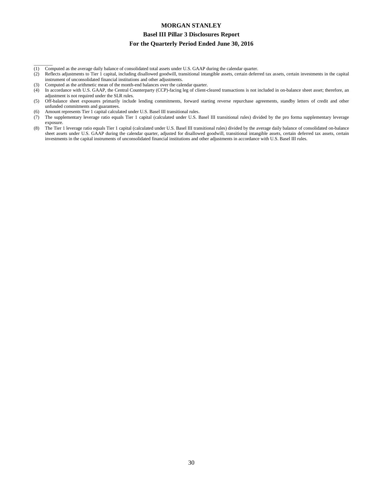#### **Basel III Pillar 3 Disclosures Report**

#### **For the Quarterly Period Ended June 30, 2016**

- (1) Computed as the average daily balance of consolidated total assets under U.S. GAAP during the calendar quarter.
- (2) Reflects adjustments to Tier 1 capital, including disallowed goodwill, transitional intangible assets, certain deferred tax assets, certain investments in the capital instrument of unconsolidated financial institutions and other adjustments.
- (3) Computed as the arithmetic mean of the month-end balances over the calendar quarter.

 $\overline{\phantom{a}}$ 

- (4) In accordance with U.S. GAAP, the Central Counterparty (CCP)-facing leg of client-cleared transactions is not included in on-balance sheet asset; therefore, an adjustment is not required under the SLR rules.
- (5) Off-balance sheet exposures primarily include lending commitments, forward starting reverse repurchase agreements, standby letters of credit and other unfunded commitments and guarantees.
- (6) Amount represents Tier 1 capital calculated under U.S. Basel III transitional rules.
- (7) The supplementary leverage ratio equals Tier 1 capital (calculated under U.S. Basel III transitional rules) divided by the pro forma supplementary leverage exposure.
- (8) The Tier 1 leverage ratio equals Tier 1 capital (calculated under U.S. Basel III transitional rules) divided by the average daily balance of consolidated on-balance sheet assets under U.S. GAAP during the calendar quarter, adjusted for disallowed goodwill, transitional intangible assets, certain deferred tax assets, certain investments in the capital instruments of unconsolidated financial institutions and other adjustments in accordance with U.S. Basel III rules.